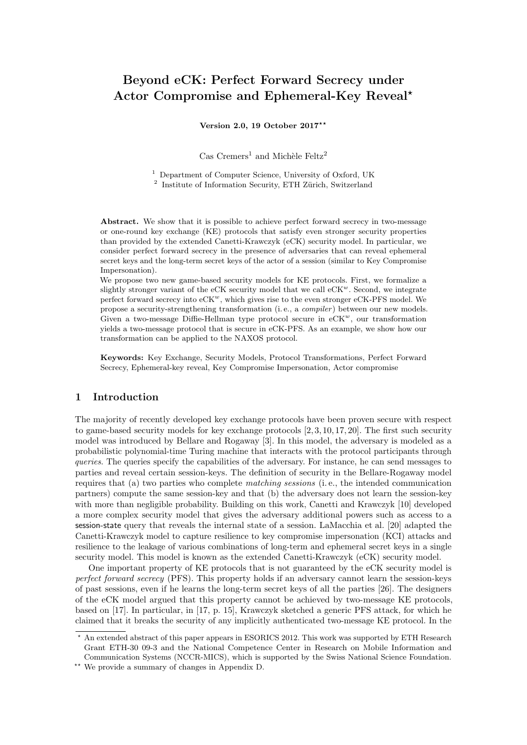# Beyond eCK: Perfect Forward Secrecy under Actor Compromise and Ephemeral-Key Reveal?

Version 2.0, 19 October  $2017**$ 

 $\text{Cas}$  Cremers<sup>1</sup> and Michèle Feltz<sup>2</sup>

<sup>1</sup> Department of Computer Science, University of Oxford, UK <sup>2</sup> Institute of Information Security, ETH Zürich, Switzerland

Abstract. We show that it is possible to achieve perfect forward secrecy in two-message or one-round key exchange (KE) protocols that satisfy even stronger security properties than provided by the extended Canetti-Krawczyk (eCK) security model. In particular, we consider perfect forward secrecy in the presence of adversaries that can reveal ephemeral secret keys and the long-term secret keys of the actor of a session (similar to Key Compromise Impersonation).

We propose two new game-based security models for KE protocols. First, we formalize a slightly stronger variant of the eCK security model that we call  $eCK^w$ . Second, we integrate perfect forward secrecy into  $eCK^w$ , which gives rise to the even stronger  $eCK-PFS$  model. We propose a security-strengthening transformation (i. e., a compiler ) between our new models. Given a two-message Diffie-Hellman type protocol secure in  $eCK^{w}$ , our transformation yields a two-message protocol that is secure in eCK-PFS. As an example, we show how our transformation can be applied to the NAXOS protocol.

Keywords: Key Exchange, Security Models, Protocol Transformations, Perfect Forward Secrecy, Ephemeral-key reveal, Key Compromise Impersonation, Actor compromise

#### 1 Introduction

The majority of recently developed key exchange protocols have been proven secure with respect to game-based security models for key exchange protocols [2, 3, 10, 17, 20]. The first such security model was introduced by Bellare and Rogaway [3]. In this model, the adversary is modeled as a probabilistic polynomial-time Turing machine that interacts with the protocol participants through queries. The queries specify the capabilities of the adversary. For instance, he can send messages to parties and reveal certain session-keys. The definition of security in the Bellare-Rogaway model requires that (a) two parties who complete matching sessions (i. e., the intended communication partners) compute the same session-key and that (b) the adversary does not learn the session-key with more than negligible probability. Building on this work, Canetti and Krawczyk [10] developed a more complex security model that gives the adversary additional powers such as access to a session-state query that reveals the internal state of a session. LaMacchia et al. [20] adapted the Canetti-Krawczyk model to capture resilience to key compromise impersonation (KCI) attacks and resilience to the leakage of various combinations of long-term and ephemeral secret keys in a single security model. This model is known as the extended Canetti-Krawczyk (eCK) security model.

One important property of KE protocols that is not guaranteed by the eCK security model is perfect forward secrecy (PFS). This property holds if an adversary cannot learn the session-keys of past sessions, even if he learns the long-term secret keys of all the parties [26]. The designers of the eCK model argued that this property cannot be achieved by two-message KE protocols, based on [17]. In particular, in [17, p. 15], Krawczyk sketched a generic PFS attack, for which he claimed that it breaks the security of any implicitly authenticated two-message KE protocol. In the

<sup>?</sup> An extended abstract of this paper appears in ESORICS 2012. This work was supported by ETH Research Grant ETH-30 09-3 and the National Competence Center in Research on Mobile Information and Communication Systems (NCCR-MICS), which is supported by the Swiss National Science Foundation.

 $^{\star\star}$  We provide a summary of changes in Appendix D.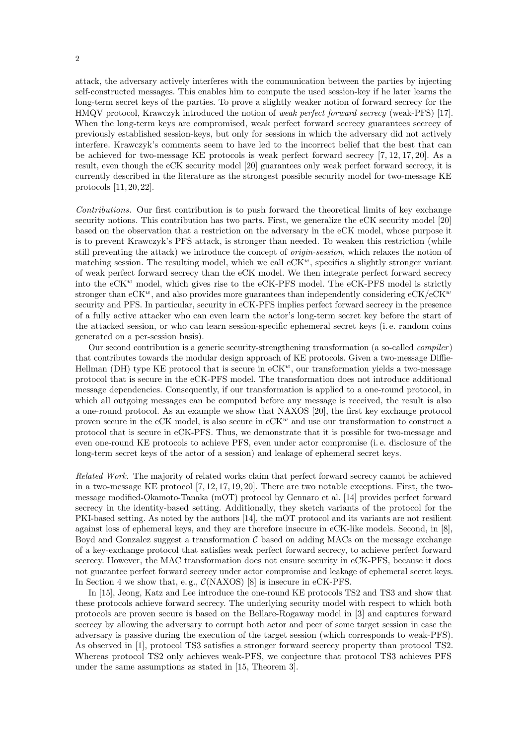attack, the adversary actively interferes with the communication between the parties by injecting self-constructed messages. This enables him to compute the used session-key if he later learns the long-term secret keys of the parties. To prove a slightly weaker notion of forward secrecy for the HMQV protocol, Krawczyk introduced the notion of weak perfect forward secrecy (weak-PFS) [17]. When the long-term keys are compromised, weak perfect forward secrecy guarantees secrecy of previously established session-keys, but only for sessions in which the adversary did not actively interfere. Krawczyk's comments seem to have led to the incorrect belief that the best that can be achieved for two-message KE protocols is weak perfect forward secrecy [7, 12, 17, 20]. As a result, even though the eCK security model [20] guarantees only weak perfect forward secrecy, it is currently described in the literature as the strongest possible security model for two-message KE protocols [11, 20, 22].

Contributions. Our first contribution is to push forward the theoretical limits of key exchange security notions. This contribution has two parts. First, we generalize the eCK security model [20] based on the observation that a restriction on the adversary in the eCK model, whose purpose it is to prevent Krawczyk's PFS attack, is stronger than needed. To weaken this restriction (while still preventing the attack) we introduce the concept of origin-session, which relaxes the notion of matching session. The resulting model, which we call  $eCK<sup>w</sup>$ , specifies a slightly stronger variant of weak perfect forward secrecy than the eCK model. We then integrate perfect forward secrecy into the  $eCK^w$  model, which gives rise to the  $eCK-PFS$  model. The  $eCK-PFS$  model is strictly stronger than eCK<sup>w</sup>, and also provides more guarantees than independently considering eCK/eCK<sup>w</sup> security and PFS. In particular, security in eCK-PFS implies perfect forward secrecy in the presence of a fully active attacker who can even learn the actor's long-term secret key before the start of the attacked session, or who can learn session-specific ephemeral secret keys (i. e. random coins generated on a per-session basis).

Our second contribution is a generic security-strengthening transformation (a so-called compiler ) that contributes towards the modular design approach of KE protocols. Given a two-message Diffie-Hellman (DH) type KE protocol that is secure in  $eCK^w$ , our transformation yields a two-message protocol that is secure in the eCK-PFS model. The transformation does not introduce additional message dependencies. Consequently, if our transformation is applied to a one-round protocol, in which all outgoing messages can be computed before any message is received, the result is also a one-round protocol. As an example we show that NAXOS [20], the first key exchange protocol proven secure in the eCK model, is also secure in  $eCK^w$  and use our transformation to construct a protocol that is secure in eCK-PFS. Thus, we demonstrate that it is possible for two-message and even one-round KE protocols to achieve PFS, even under actor compromise (i. e. disclosure of the long-term secret keys of the actor of a session) and leakage of ephemeral secret keys.

Related Work. The majority of related works claim that perfect forward secrecy cannot be achieved in a two-message KE protocol [7, 12, 17, 19, 20]. There are two notable exceptions. First, the twomessage modified-Okamoto-Tanaka (mOT) protocol by Gennaro et al. [14] provides perfect forward secrecy in the identity-based setting. Additionally, they sketch variants of the protocol for the PKI-based setting. As noted by the authors [14], the mOT protocol and its variants are not resilient against loss of ephemeral keys, and they are therefore insecure in eCK-like models. Second, in [8], Boyd and Gonzalez suggest a transformation  $\mathcal C$  based on adding MACs on the message exchange of a key-exchange protocol that satisfies weak perfect forward secrecy, to achieve perfect forward secrecy. However, the MAC transformation does not ensure security in eCK-PFS, because it does not guarantee perfect forward secrecy under actor compromise and leakage of ephemeral secret keys. In Section 4 we show that, e.g.,  $\mathcal{C}(NAXOS)$  [8] is insecure in eCK-PFS.

In [15], Jeong, Katz and Lee introduce the one-round KE protocols TS2 and TS3 and show that these protocols achieve forward secrecy. The underlying security model with respect to which both protocols are proven secure is based on the Bellare-Rogaway model in [3] and captures forward secrecy by allowing the adversary to corrupt both actor and peer of some target session in case the adversary is passive during the execution of the target session (which corresponds to weak-PFS). As observed in [1], protocol TS3 satisfies a stronger forward secrecy property than protocol TS2. Whereas protocol TS2 only achieves weak-PFS, we conjecture that protocol TS3 achieves PFS under the same assumptions as stated in [15, Theorem 3].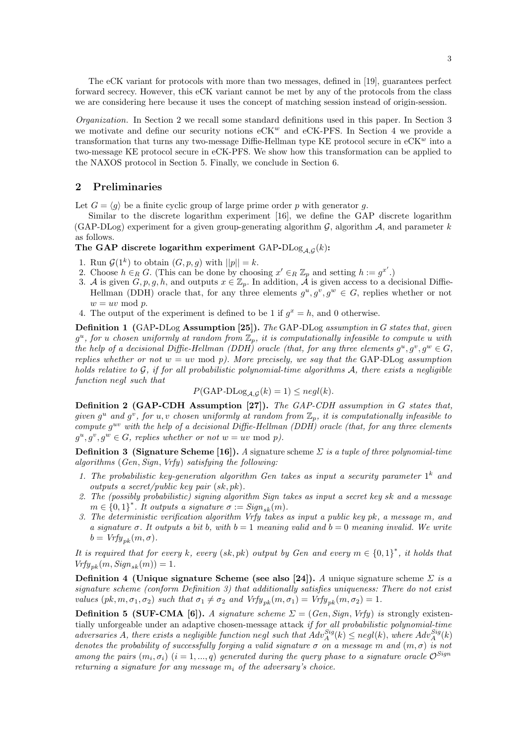The eCK variant for protocols with more than two messages, defined in [19], guarantees perfect forward secrecy. However, this eCK variant cannot be met by any of the protocols from the class we are considering here because it uses the concept of matching session instead of origin-session.

Organization. In Section 2 we recall some standard definitions used in this paper. In Section 3 we motivate and define our security notions  $eCK^w$  and  $eCK-PFS$ . In Section 4 we provide a transformation that turns any two-message Diffie-Hellman type KE protocol secure in  $eCK^w$  into a two-message KE protocol secure in eCK-PFS. We show how this transformation can be applied to the NAXOS protocol in Section 5. Finally, we conclude in Section 6.

### 2 Preliminaries

Let  $G = \langle q \rangle$  be a finite cyclic group of large prime order p with generator q.

Similar to the discrete logarithm experiment [16], we define the GAP discrete logarithm (GAP-DLog) experiment for a given group-generating algorithm  $G$ , algorithm  $A$ , and parameter k as follows.

# The GAP discrete logarithm experiment  $\text{GAP-}\text{DLog}_{\mathcal{A},\mathcal{G}}(k)$ :

- 1. Run  $\mathcal{G}(1^k)$  to obtain  $(G, p, g)$  with  $||p|| = k$ .
- 2. Choose  $h \in_R G$ . (This can be done by choosing  $x' \in_R \mathbb{Z}_p$  and setting  $h := g^{x'}$ .)
- 3. A is given  $G, p, g, h$ , and outputs  $x \in \mathbb{Z}_p$ . In addition,  $\hat{\mathcal{A}}$  is given access to a decisional Diffie-Hellman (DDH) oracle that, for any three elements  $g^u, g^v, g^w \in G$ , replies whether or not  $w = uv \mod p$ .
- 4. The output of the experiment is defined to be 1 if  $g^x = h$ , and 0 otherwise.

**Definition 1** (GAP-DLog Assumption  $[25]$ ). The GAP-DLog assumption in G states that, given  $g^u$ , for u chosen uniformly at random from  $\mathbb{Z}_p$ , it is computationally infeasible to compute u with the help of a decisional Diffie-Hellman (DDH) oracle (that, for any three elements  $g^u, g^v, g^w \in G$ , replies whether or not  $w = uv \mod p$ . More precisely, we say that the GAP-DLog assumption holds relative to  $G$ , if for all probabilistic polynomial-time algorithms  $A$ , there exists a negligible function negl such that

$$
P(\text{GAP-DLog}_{\mathcal{A}, \mathcal{G}}(k) = 1) \leq negl(k).
$$

Definition 2 (GAP-CDH Assumption [27]). The GAP-CDH assumption in G states that, given  $g^u$  and  $g^v$ , for u, v chosen uniformly at random from  $\mathbb{Z}_p$ , it is computationally infeasible to compute  $g^{uv}$  with the help of a decisional Diffie-Hellman (DDH) oracle (that, for any three elements  $g^u, g^v, g^w \in G$ , replies whether or not  $w = uv \mod p$ ).

**Definition 3** (Signature Scheme [16]). A signature scheme  $\Sigma$  is a tuple of three polynomial-time algorithms (Gen, Sign, Vrfy) satisfying the following:

- 1. The probabilistic key-generation algorithm Gen takes as input a security parameter  $1^k$  and outputs a secret/public key pair (sk, pk).
- 2. The (possibly probabilistic) signing algorithm Sign takes as input a secret key sk and a message  $m \in \{0,1\}^*$ . It outputs a signature  $\sigma := Sign_{sk}(m)$ .
- 3. The deterministic verification algorithm Vrfy takes as input a public key pk, a message m, and a signature  $\sigma$ . It outputs a bit b, with  $b = 1$  meaning valid and  $b = 0$  meaning invalid. We write  $b = Vrfy_{nk}(m, \sigma).$

It is required that for every k, every  $(sk, pk)$  output by Gen and every  $m \in \{0, 1\}^*$ , it holds that  $Vrfy_{nk}(m, Sign_{sk}(m)) = 1.$ 

**Definition 4 (Unique signature Scheme (see also [24]).** A unique signature scheme  $\Sigma$  is a signature scheme (conform Definition 3) that additionally satisfies uniqueness: There do not exist values  $(pk, m, \sigma_1, \sigma_2)$  such that  $\sigma_1 \neq \sigma_2$  and  $Vrfy_{pk}(m, \sigma_1) = Vrfy_{pk}(m, \sigma_2) = 1$ .

**Definition 5 (SUF-CMA [6]).** A signature scheme  $\Sigma = (Gen, Sign, Vrfy)$  is strongly existentially unforgeable under an adaptive chosen-message attack if for all probabilistic polynomial-time adversaries A, there exists a negligible function negl such that  $Adv_A^{Sig}(k) \leq negl(k)$ , where  $Adv_A^{Sig}(k)$ denotes the probability of successfully forging a valid signature  $\sigma$  on a message m and  $(m, \sigma)$  is not among the pairs  $(m_i, \sigma_i)$   $(i = 1, ..., q)$  generated during the query phase to a signature oracle  $\mathcal{O}^{Sign}$ returning a signature for any message  $m_i$  of the adversary's choice.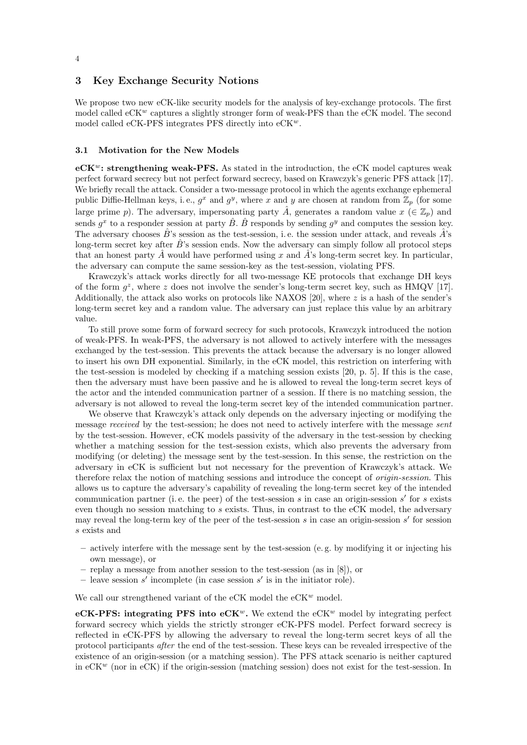### 3 Key Exchange Security Notions

We propose two new eCK-like security models for the analysis of key-exchange protocols. The first model called  $eCK^w$  captures a slightly stronger form of weak-PFS than the  $eCK$  model. The second model called eCK-PFS integrates PFS directly into eCK<sup>w</sup>.

#### 3.1 Motivation for the New Models

 $eCK<sup>w</sup>$ : strengthening weak-PFS. As stated in the introduction, the eCK model captures weak perfect forward secrecy but not perfect forward secrecy, based on Krawczyk's generic PFS attack [17]. We briefly recall the attack. Consider a two-message protocol in which the agents exchange ephemeral public Diffie-Hellman keys, i. e.,  $g^x$  and  $g^y$ , where x and y are chosen at random from  $\mathbb{Z}_p$  (for some large prime p). The adversary, impersonating party  $\hat{A}$ , generates a random value  $x \in \mathbb{Z}_p$ ) and sends  $g^x$  to a responder session at party  $\hat{B}$ .  $\hat{B}$  responds by sending  $g^y$  and computes the session key. The adversary chooses  $\hat{B}$ 's session as the test-session, i.e. the session under attack, and reveals  $\hat{A}$ 's long-term secret key after  $\hat{B}$ 's session ends. Now the adversary can simply follow all protocol steps that an honest party  $\hat{A}$  would have performed using x and  $\hat{A}$ 's long-term secret key. In particular, the adversary can compute the same session-key as the test-session, violating PFS.

Krawczyk's attack works directly for all two-message KE protocols that exchange DH keys of the form  $g^z$ , where z does not involve the sender's long-term secret key, such as HMQV [17]. Additionally, the attack also works on protocols like NAXOS [20], where z is a hash of the sender's long-term secret key and a random value. The adversary can just replace this value by an arbitrary value.

To still prove some form of forward secrecy for such protocols, Krawczyk introduced the notion of weak-PFS. In weak-PFS, the adversary is not allowed to actively interfere with the messages exchanged by the test-session. This prevents the attack because the adversary is no longer allowed to insert his own DH exponential. Similarly, in the eCK model, this restriction on interfering with the test-session is modeled by checking if a matching session exists [20, p. 5]. If this is the case, then the adversary must have been passive and he is allowed to reveal the long-term secret keys of the actor and the intended communication partner of a session. If there is no matching session, the adversary is not allowed to reveal the long-term secret key of the intended communication partner.

We observe that Krawczyk's attack only depends on the adversary injecting or modifying the message received by the test-session; he does not need to actively interfere with the message sent by the test-session. However, eCK models passivity of the adversary in the test-session by checking whether a matching session for the test-session exists, which also prevents the adversary from modifying (or deleting) the message sent by the test-session. In this sense, the restriction on the adversary in eCK is sufficient but not necessary for the prevention of Krawczyk's attack. We therefore relax the notion of matching sessions and introduce the concept of origin-session. This allows us to capture the adversary's capability of revealing the long-term secret key of the intended communication partner (i.e. the peer) of the test-session  $s$  in case an origin-session  $s'$  for  $s$  exists even though no session matching to s exists. Thus, in contrast to the eCK model, the adversary may reveal the long-term key of the peer of the test-session  $s$  in case an origin-session  $s'$  for session s exists and

- actively interfere with the message sent by the test-session (e. g. by modifying it or injecting his own message), or
- replay a message from another session to the test-session (as in [8]), or
- $-$  leave session s' incomplete (in case session s' is in the initiator role).

We call our strengthened variant of the eCK model the eCK<sup>w</sup> model.

eCK-PFS: integrating PFS into eCK<sup>w</sup>. We extend the eCK<sup>w</sup> model by integrating perfect forward secrecy which yields the strictly stronger eCK-PFS model. Perfect forward secrecy is reflected in eCK-PFS by allowing the adversary to reveal the long-term secret keys of all the protocol participants after the end of the test-session. These keys can be revealed irrespective of the existence of an origin-session (or a matching session). The PFS attack scenario is neither captured in  $eCK^w$  (nor in  $eCK$ ) if the origin-session (matching session) does not exist for the test-session. In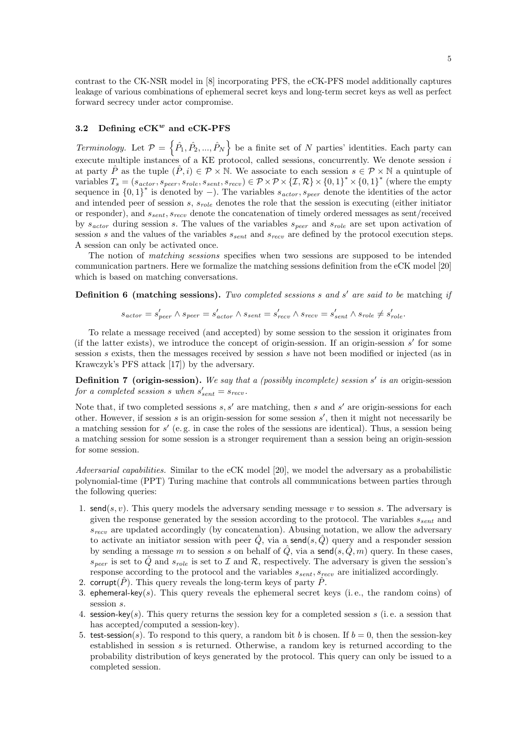contrast to the CK-NSR model in [8] incorporating PFS, the eCK-PFS model additionally captures leakage of various combinations of ephemeral secret keys and long-term secret keys as well as perfect forward secrecy under actor compromise.

#### 3.2 Defining  $eCK^w$  and  $eCK$ -PFS

Terminology. Let  $\mathcal{P} = \{\hat{P}_1, \hat{P}_2, ..., \hat{P}_N\}$  be a finite set of N parties' identities. Each party can execute multiple instances of a KE protocol, called sessions, concurrently. We denote session i at party  $\hat{P}$  as the tuple  $(\hat{P}, i) \in \mathcal{P} \times \mathbb{N}$ . We associate to each session  $s \in \mathcal{P} \times \mathbb{N}$  a quintuple of variables  $T_s = (s_{actor}, s_{peer}, s_{role}, s_{sent}, s_{recv}) \in \mathcal{P} \times \mathcal{P} \times \{I, R\} \times \{0, 1\}^* \times \{0, 1\}^*$  (where the empty sequence in  ${0,1}^*$  is denoted by -). The variables  $s_{actor}, s_{peer}$  denote the identities of the actor and intended peer of session s,  $s_{role}$  denotes the role that the session is executing (either initiator or responder), and  $s_{sent}$ ,  $s_{recv}$  denote the concatenation of timely ordered messages as sent/received by  $s_{actor}$  during session s. The values of the variables  $s_{peer}$  and  $s_{role}$  are set upon activation of session s and the values of the variables  $s_{sent}$  and  $s_{recv}$  are defined by the protocol execution steps. A session can only be activated once.

The notion of *matching sessions* specifies when two sessions are supposed to be intended communication partners. Here we formalize the matching sessions definition from the eCK model [20] which is based on matching conversations.

**Definition 6 (matching sessions).** Two completed sessions  $s$  and  $s'$  are said to be matching if

$$
s_{actor} = s'_{peer} \land s_{peer} = s'_{actor} \land s_{sent} = s'_{recv} \land s_{recv} = s'_{sent} \land s_{role} \neq s'_{role}.
$$

To relate a message received (and accepted) by some session to the session it originates from (if the latter exists), we introduce the concept of origin-session. If an origin-session  $s'$  for some session s exists, then the messages received by session s have not been modified or injected (as in Krawczyk's PFS attack [17]) by the adversary.

**Definition 7** (origin-session). We say that a (possibly incomplete) session s' is an origin-session for a completed session s when  $s'_{sent} = s_{recv}$ .

Note that, if two completed sessions  $s, s'$  are matching, then s and s' are origin-sessions for each other. However, if session  $s$  is an origin-session for some session  $s'$ , then it might not necessarily be a matching session for  $s'$  (e.g. in case the roles of the sessions are identical). Thus, a session being a matching session for some session is a stronger requirement than a session being an origin-session for some session.

Adversarial capabilities. Similar to the eCK model [20], we model the adversary as a probabilistic polynomial-time (PPT) Turing machine that controls all communications between parties through the following queries:

- 1. send(s, v). This query models the adversary sending message v to session s. The adversary is given the response generated by the session according to the protocol. The variables  $s_{sent}$  and  $s_{recv}$  are updated accordingly (by concatenation). Abusing notation, we allow the adversary to activate an initiator session with peer  $\hat{Q}$ , via a send(s,  $\hat{Q}$ ) query and a responder session by sending a message m to session s on behalf of  $\hat{Q}$ , via a send $(s, \hat{Q}, m)$  query. In these cases,  $s_{peer}$  is set to  $\hat{Q}$  and  $s_{role}$  is set to  $\mathcal{I}$  and  $\mathcal{R}$ , respectively. The adversary is given the session's response according to the protocol and the variables  $s_{sent}$ ,  $s_{recv}$  are initialized accordingly.
- 2. corrupt(P). This query reveals the long-term keys of party P.
- 3. ephemeral-key(s). This query reveals the ephemeral secret keys (i.e., the random coins) of session  $s$ .
- 4. session-key(s). This query returns the session key for a completed session s (i.e. a session that has accepted/computed a session-key).
- 5. test-session(s). To respond to this query, a random bit b is chosen. If  $b = 0$ , then the session-key established in session s is returned. Otherwise, a random key is returned according to the probability distribution of keys generated by the protocol. This query can only be issued to a completed session.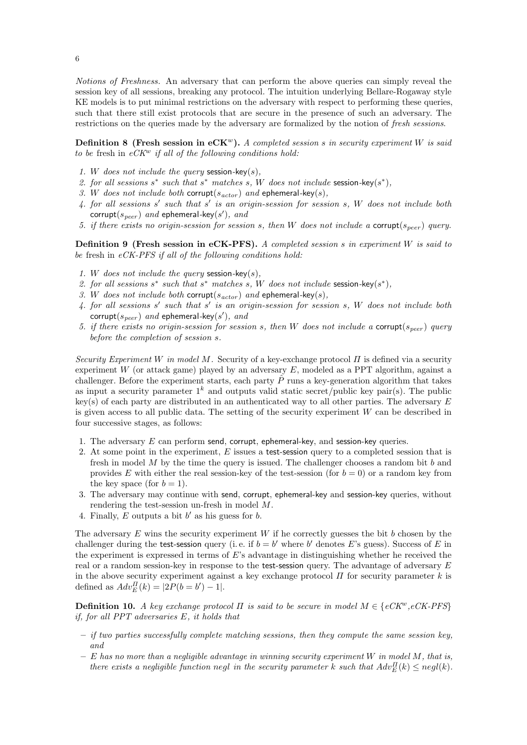Notions of Freshness. An adversary that can perform the above queries can simply reveal the session key of all sessions, breaking any protocol. The intuition underlying Bellare-Rogaway style KE models is to put minimal restrictions on the adversary with respect to performing these queries, such that there still exist protocols that are secure in the presence of such an adversary. The restrictions on the queries made by the adversary are formalized by the notion of fresh sessions.

**Definition 8 (Fresh session in eCK<sup>w</sup>).** A completed session s in security experiment W is said to be fresh in  $eCK^w$  if all of the following conditions hold:

- 1. W does not include the query session-key(s),
- 2. for all sessions s<sup>\*</sup> such that s<sup>\*</sup> matches s, W does not include session-key(s<sup>\*</sup>),
- 3. W does not include both corrupt( $s_{actor}$ ) and ephemeral-key(s),
- 4. for all sessions  $s'$  such that  $s'$  is an origin-session for session  $s$ , W does not include both corrupt $(s_{peer})$  and ephemeral-key $(s')$ , and
- 5. if there exists no origin-session for session s, then W does not include a corrupt( $s_{peer}$ ) query.

Definition 9 (Fresh session in eCK-PFS). A completed session s in experiment W is said to be fresh in  $eCK-PFS$  if all of the following conditions hold:

- 1. W does not include the query session-key(s),
- 2. for all sessions  $s^*$  such that  $s^*$  matches  $s$ , W does not include session-key $(s^*)$ ,
- 3. W does not include both corrupt( $s_{actor}$ ) and ephemeral-key(s),
- 4. for all sessions  $s'$  such that  $s'$  is an origin-session for session  $s$ , W does not include both corrupt $(s_{peer})$  and ephemeral-key $(s')$ , and
- 5. if there exists no origin-session for session s, then W does not include a corrupt( $s_{peer}$ ) query before the completion of session s.

Security Experiment W in model M. Security of a key-exchange protocol  $\Pi$  is defined via a security experiment W (or attack game) played by an adversary  $E$ , modeled as a PPT algorithm, against a challenger. Before the experiment starts, each party  $\hat{P}$  runs a key-generation algorithm that takes as input a security parameter  $1^k$  and outputs valid static secret/public key pair(s). The public key(s) of each party are distributed in an authenticated way to all other parties. The adversary  $E$ is given access to all public data. The setting of the security experiment  $W$  can be described in four successive stages, as follows:

- 1. The adversary  $E$  can perform send, corrupt, ephemeral-key, and session-key queries.
- 2. At some point in the experiment, E issues a test-session query to a completed session that is fresh in model M by the time the query is issued. The challenger chooses a random bit b and provides E with either the real session-key of the test-session (for  $b = 0$ ) or a random key from the key space (for  $b = 1$ ).
- 3. The adversary may continue with send, corrupt, ephemeral-key and session-key queries, without rendering the test-session un-fresh in model M.
- 4. Finally,  $E$  outputs a bit  $b'$  as his guess for  $b$ .

The adversary  $E$  wins the security experiment  $W$  if he correctly guesses the bit  $b$  chosen by the challenger during the test-session query (i.e. if  $b = b'$  where b' denotes E's guess). Success of E in the experiment is expressed in terms of  $E$ 's advantage in distinguishing whether he received the real or a random session-key in response to the test-session query. The advantage of adversary  $E$ in the above security experiment against a key exchange protocol  $\Pi$  for security parameter k is defined as  $Adv_E^{\Pi}(k) = |2P(b = b') - 1|$ .

**Definition 10.** A key exchange protocol  $\Pi$  is said to be secure in model  $M \in \{eCK^w, eCK\text{-}PFS\}$ if, for all PPT adversaries E, it holds that

- $-$  if two parties successfully complete matching sessions, then they compute the same session key. and
- $E$  has no more than a negligible advantage in winning security experiment W in model M, that is, there exists a negligible function negl in the security parameter k such that  $Adv_E^{\Pi}(k) \leq negl(k)$ .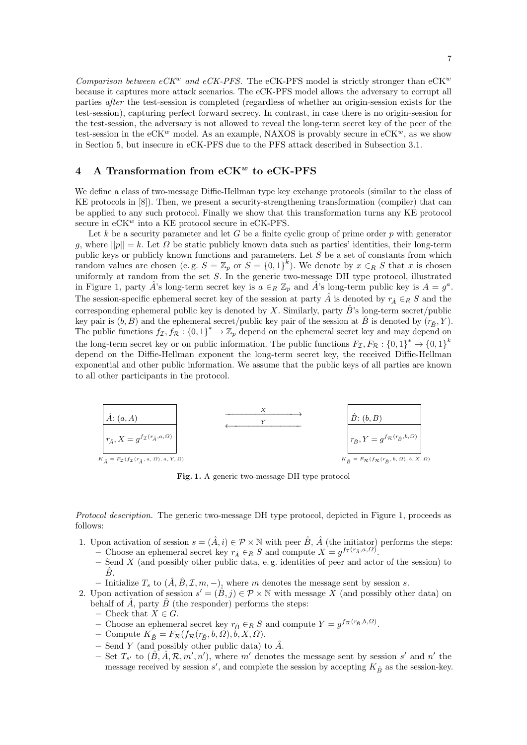Comparison between eCK<sup>w</sup> and eCK-PFS. The eCK-PFS model is strictly stronger than eCK<sup>w</sup> because it captures more attack scenarios. The eCK-PFS model allows the adversary to corrupt all parties after the test-session is completed (regardless of whether an origin-session exists for the test-session), capturing perfect forward secrecy. In contrast, in case there is no origin-session for the test-session, the adversary is not allowed to reveal the long-term secret key of the peer of the test-session in the eCK<sup>w</sup> model. As an example, NAXOS is provably secure in  $eCK^{w}$ , as we show in Section 5, but insecure in eCK-PFS due to the PFS attack described in Subsection 3.1.

# 4 A Transformation from  $eCK^{w}$  to  $eCK$ -PFS

We define a class of two-message Diffie-Hellman type key exchange protocols (similar to the class of KE protocols in [8]). Then, we present a security-strengthening transformation (compiler) that can be applied to any such protocol. Finally we show that this transformation turns any KE protocol secure in  $eCK^{w}$  into a KE protocol secure in  $eCK-PFS$ .

Let k be a security parameter and let G be a finite cyclic group of prime order  $p$  with generator g, where  $||p|| = k$ . Let  $\Omega$  be static publicly known data such as parties' identities, their long-term public keys or publicly known functions and parameters. Let S be a set of constants from which random values are chosen (e.g.  $S = \mathbb{Z}_p$  or  $S = \{0,1\}^k$ ). We denote by  $x \in_R S$  that x is chosen uniformly at random from the set  $S$ . In the generic two-message DH type protocol, illustrated in Figure 1, party  $\hat{A}$ 's long-term secret key is  $a \in_R \mathbb{Z}_p$  and  $\hat{A}$ 's long-term public key is  $A = g^a$ . The session-specific ephemeral secret key of the session at party  $\hat{A}$  is denoted by  $r_{\hat{A}} \in_R S$  and the corresponding ephemeral public key is denoted by X. Similarly, party  $\hat{B}$ 's long-term secret/public key pair is  $(b, B)$  and the ephemeral secret/public key pair of the session at  $\hat{B}$  is denoted by  $(r_{\hat{B}}, Y)$ . The public functions  $f_{\mathcal{I}}, f_{\mathcal{R}} : \{0,1\}^* \to \mathbb{Z}_p$  depend on the ephemeral secret key and may depend on the long-term secret key or on public information. The public functions  $F_{\mathcal{I}}, F_{\mathcal{R}}: \{0,1\}^* \to \{0,1\}^k$ depend on the Diffie-Hellman exponent the long-term secret key, the received Diffie-Hellman exponential and other public information. We assume that the public keys of all parties are known to all other participants in the protocol.



Fig. 1. A generic two-message DH type protocol

Protocol description. The generic two-message DH type protocol, depicted in Figure 1, proceeds as follows:

- 1. Upon activation of session  $s = (\hat{A}, i) \in \mathcal{P} \times \mathbb{N}$  with peer  $\hat{B}$ ,  $\hat{A}$  (the initiator) performs the steps: – Choose an ephemeral secret key  $r_{\hat{A}} \in_R S$  and compute  $X = g^{f_{\mathcal{I}}(r_{\hat{A}},a,\Omega)}$ .
	- Send X (and possibly other public data, e.g. identities of peer and actor of the session) to  $B$ .
	- Initialize  $T_s$  to  $(\hat{A}, \hat{B}, \mathcal{I}, m, -)$ , where m denotes the message sent by session s.
- 2. Upon activation of session  $s' = (\hat{B}, j) \in \mathcal{P} \times \mathbb{N}$  with message X (and possibly other data) on behalf of  $\hat{A}$ , party  $\hat{B}$  (the responder) performs the steps:
	- Check that  $X \in G$ .
	- Choose an ephemeral secret key  $r_{\hat{B}} \in_R S$  and compute  $Y = g^{f_{\mathcal{R}}(r_{\hat{B}},b,\Omega)}$ .
	- Compute  $K_B = F_{\mathcal{R}}(f_{\mathcal{R}}(r_{\hat{B}}, b, \Omega), \overline{b}, X, \Omega).$
	- Send Y (and possibly other public data) to  $\hat{A}$ .
	- Set  $T_{s'}$  to  $(\hat{B}, \hat{A}, \mathcal{R}, m', n')$ , where m' denotes the message sent by session s' and n' the message received by session  $s'$ , and complete the session by accepting  $K_{\hat{B}}$  as the session-key.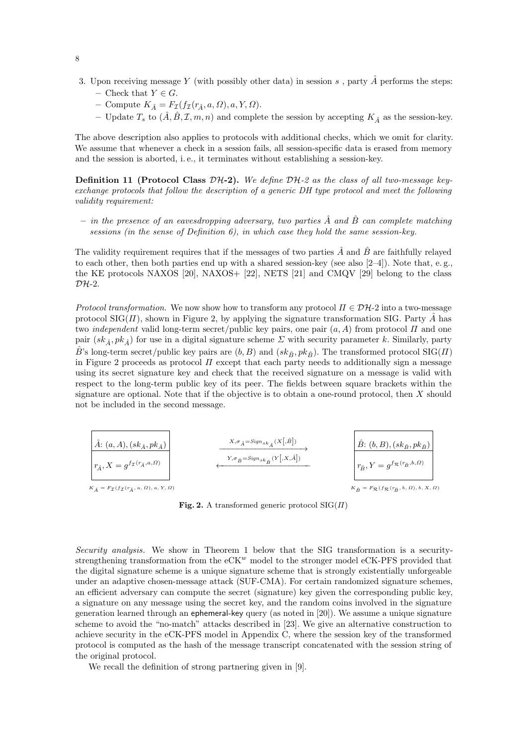- 3. Upon receiving message Y (with possibly other data) in session s, party  $\hat{A}$  performs the steps: – Check that  $Y \in G$ .
	- Compute  $K_{\hat{A}} = F_{\mathcal{I}}(f_{\mathcal{I}}(r_{\hat{A}}, a, \Omega), a, Y, \Omega).$
	- Update  $T_s$  to  $(\hat{A}, \hat{B}, \mathcal{I}, m, n)$  and complete the session by accepting  $K_{\hat{A}}$  as the session-key.

The above description also applies to protocols with additional checks, which we omit for clarity. We assume that whenever a check in a session fails, all session-specific data is erased from memory and the session is aborted, i. e., it terminates without establishing a session-key.

**Definition 11 (Protocol Class**  $\mathcal{D}H-2$ **).** We define  $\mathcal{D}H-2$  as the class of all two-message keyexchange protocols that follow the description of a generic DH type protocol and meet the following validity requirement:

– in the presence of an eavesdropping adversary, two parties  $\hat{A}$  and  $\hat{B}$  can complete matching sessions (in the sense of Definition 6), in which case they hold the same session-key.

The validity requirement requires that if the messages of two parties  $\hat{A}$  and  $\hat{B}$  are faithfully relayed to each other, then both parties end up with a shared session-key (see also  $[2-4]$ ). Note that, e.g., the KE protocols NAXOS [20], NAXOS+ [22], NETS [21] and CMQV [29] belong to the class DH-2.

Protocol transformation. We now show how to transform any protocol  $\Pi \in \mathcal{D}H-2$  into a two-message protocol  $\text{SIG}(II)$ , shown in Figure 2, by applying the signature transformation SIG. Party A has two *independent* valid long-term secret/public key pairs, one pair  $(a, A)$  from protocol  $\Pi$  and one pair  $(sk_{\hat{A}}, pk_{\hat{A}})$  for use in a digital signature scheme  $\Sigma$  with security parameter k. Similarly, party B's long-term secret/public key pairs are  $(b, B)$  and  $(s k_{\hat{B}}, p k_{\hat{B}})$ . The transformed protocol SIG( $\Pi$ ) in Figure 2 proceeds as protocol  $\Pi$  except that each party needs to additionally sign a message using its secret signature key and check that the received signature on a message is valid with respect to the long-term public key of its peer. The fields between square brackets within the signature are optional. Note that if the objective is to obtain a one-round protocol, then  $X$  should not be included in the second message.

$$
\begin{array}{|c|c|} \hline \hat{A} \colon (a,A),(sk_{\hat{A}},pk_{\hat{A}}) & & & \x,\sigma_{\hat{A}} = \operatorname{Sign}_{sk_{\hat{A}}}(X\big[\hat{B}]\big) \\ \hline \\ r_{\hat{A}},X=g^{f_{\mathcal{I}}(r_{\hat{A}},a,\Omega)} & & & \x,\sigma_{\hat{B}} = \operatorname{Sign}_{sk_{\hat{B}}}(Y\big[\mathbf{X},\hat{A}\big]) \\ \hline \\ \kappa_{\hat{A}} = \kappa_{\mathcal{I}}(f_{\mathcal{I}}(r_{\hat{A}},a,\Omega),a,Y,\Omega) & & & \x,\sigma_{\hat{B}} = \kappa_{\mathcal{I}}(f_{\mathcal{R}}(r_{\hat{B}},b,\Omega),b,X,\Omega) \\ \hline \end{array}
$$

Fig. 2. A transformed generic protocol  $\text{SIG}(H)$ 

Security analysis. We show in Theorem 1 below that the SIG transformation is a securitystrengthening transformation from the  $eCK^w$  model to the stronger model  $eCK-PFS$  provided that the digital signature scheme is a unique signature scheme that is strongly existentially unforgeable under an adaptive chosen-message attack (SUF-CMA). For certain randomized signature schemes, an efficient adversary can compute the secret (signature) key given the corresponding public key, a signature on any message using the secret key, and the random coins involved in the signature generation learned through an ephemeral-key query (as noted in [20]). We assume a unique signature scheme to avoid the "no-match" attacks described in [23]. We give an alternative construction to achieve security in the eCK-PFS model in Appendix C, where the session key of the transformed protocol is computed as the hash of the message transcript concatenated with the session string of the original protocol.

We recall the definition of strong partnering given in [9].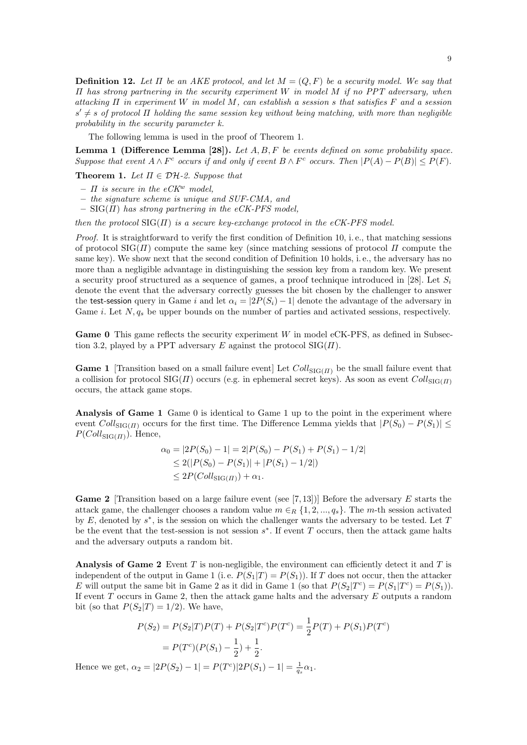The following lemma is used in the proof of Theorem 1.

**Lemma 1 (Difference Lemma [28]).** Let  $A, B, F$  be events defined on some probability space. Suppose that event  $A \wedge F^c$  occurs if and only if event  $B \wedge F^c$  occurs. Then  $|P(A) - P(B)| \leq P(F)$ .

**Theorem 1.** Let  $\Pi \in \mathcal{DH}\text{-2. Suppose that}$ 

–  $\Pi$  is secure in the eCK<sup>w</sup> model,

– the signature scheme is unique and SUF-CMA, and

 $-$  SIG( $\Pi$ ) has strong partnering in the eCK-PFS model.

then the protocol  $\text{SIG}(\Pi)$  is a secure key-exchange protocol in the eCK-PFS model.

Proof. It is straightforward to verify the first condition of Definition 10, i.e., that matching sessions of protocol  $\text{SIG}(H)$  compute the same key (since matching sessions of protocol H compute the same key). We show next that the second condition of Definition 10 holds, i. e., the adversary has no more than a negligible advantage in distinguishing the session key from a random key. We present a security proof structured as a sequence of games, a proof technique introduced in [28]. Let  $S_i$ denote the event that the adversary correctly guesses the bit chosen by the challenger to answer the test-session query in Game i and let  $\alpha_i = |2P(S_i) - 1|$  denote the advantage of the adversary in Game i. Let  $N, q_s$  be upper bounds on the number of parties and activated sessions, respectively.

**Game 0** This game reflects the security experiment W in model eCK-PFS, as defined in Subsection 3.2, played by a PPT adversary E against the protocol  $\text{SIG}(\Pi)$ .

**Game 1** [Transition based on a small failure event] Let  $Coll_{\text{SIG}(II)}$  be the small failure event that a collision for protocol  $\text{SIG}(H)$  occurs (e.g. in ephemeral secret keys). As soon as event  $Coll_{\text{SIG}(H)}$ occurs, the attack game stops.

Analysis of Game 1 Game 0 is identical to Game 1 up to the point in the experiment where event  $Coll_{\text{SIG}(H)}$  occurs for the first time. The Difference Lemma yields that  $|P(S_0) - P(S_1)| \le$  $P(Coll_{\text{SIG}(\Pi)})$ . Hence,

$$
\alpha_0 = |2P(S_0) - 1| = 2|P(S_0) - P(S_1) + P(S_1) - 1/2|
$$
  
\n
$$
\leq 2(|P(S_0) - P(S_1)| + |P(S_1) - 1/2|)
$$
  
\n
$$
\leq 2P(Cl_{\text{SIG}(I)}) + \alpha_1.
$$

**Game 2** [Transition based on a large failure event (see [7,13])] Before the adversary  $E$  starts the attack game, the challenger chooses a random value  $m \in_R \{1, 2, ..., q_s\}$ . The m-th session activated by  $E$ , denoted by  $s^*$ , is the session on which the challenger wants the adversary to be tested. Let  $T$ be the event that the test-session is not session  $s^*$ . If event T occurs, then the attack game halts and the adversary outputs a random bit.

Analysis of Game 2 Event  $T$  is non-negligible, the environment can efficiently detect it and  $T$  is independent of the output in Game 1 (i.e.  $P(S_1|T) = P(S_1)$ ). If T does not occur, then the attacker E will output the same bit in Game 2 as it did in Game 1 (so that  $P(S_2|T^c) = P(S_1|T^c) = P(S_1)$ ). If event  $T$  occurs in Game 2, then the attack game halts and the adversary  $E$  outputs a random bit (so that  $P(S_2|T) = 1/2$ ). We have,

$$
P(S_2) = P(S_2|T)P(T) + P(S_2|T^c)P(T^c) = \frac{1}{2}P(T) + P(S_1)P(T^c)
$$

$$
= P(T^c)(P(S_1) - \frac{1}{2}) + \frac{1}{2}.
$$

Hence we get,  $\alpha_2 = |2P(S_2) - 1| = P(T^c)|2P(S_1) - 1| = \frac{1}{q_s}\alpha_1$ .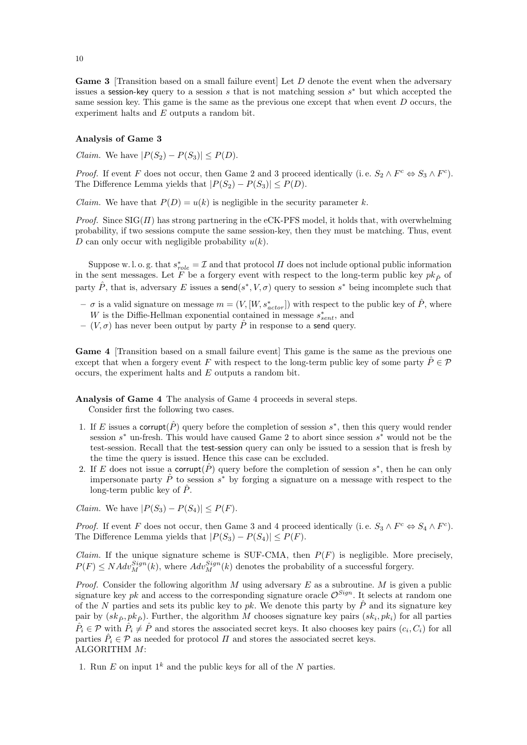**Game 3** [Transition based on a small failure event] Let  $D$  denote the event when the adversary issues a session-key query to a session  $s$  that is not matching session  $s^*$  but which accepted the same session key. This game is the same as the previous one except that when event  $D$  occurs, the experiment halts and E outputs a random bit.

#### Analysis of Game 3

*Claim.* We have  $|P(S_2) - P(S_3)| \leq P(D)$ .

*Proof.* If event F does not occur, then Game 2 and 3 proceed identically (i.e.  $S_2 \wedge F^c \Leftrightarrow S_3 \wedge F^c$ ). The Difference Lemma yields that  $|P(S_2) - P(S_3)| \leq P(D)$ .

*Claim.* We have that  $P(D) = u(k)$  is negligible in the security parameter k.

*Proof.* Since  $\text{SIG}(H)$  has strong partnering in the eCK-PFS model, it holds that, with overwhelming probability, if two sessions compute the same session-key, then they must be matching. Thus, event D can only occur with negligible probability  $u(k)$ .

Suppose w.l. o. g. that  $s_{role}^* = \mathcal{I}$  and that protocol  $\Pi$  does not include optional public information in the sent messages. Let F be a forgery event with respect to the long-term public key  $pk_{\hat{P}}$  of party  $\hat{P}$ , that is, adversary E issues a send $(s^*, V, \sigma)$  query to session  $s^*$  being incomplete such that

- $-\sigma$  is a valid signature on message  $m = (V, [W, s_{actor}^*])$  with respect to the public key of  $\hat{P}$ , where W is the Diffie-Hellman exponential contained in message  $s_{sent}^*$ , and
- $(V, \sigma)$  has never been output by party  $\hat{P}$  in response to a send query.

Game 4 [Transition based on a small failure event] This game is the same as the previous one except that when a forgery event F with respect to the long-term public key of some party  $\hat{P} \in \mathcal{P}$ occurs, the experiment halts and E outputs a random bit.

Analysis of Game 4 The analysis of Game 4 proceeds in several steps. Consider first the following two cases.

- 1. If E issues a corrupt( $\hat{P}$ ) query before the completion of session  $s^*$ , then this query would render session  $s^*$  un-fresh. This would have caused Game 2 to abort since session  $s^*$  would not be the test-session. Recall that the test-session query can only be issued to a session that is fresh by the time the query is issued. Hence this case can be excluded.
- 2. If E does not issue a corrupt( $\hat{P}$ ) query before the completion of session  $s^*$ , then he can only impersonate party  $\hat{P}$  to session  $s^*$  by forging a signature on a message with respect to the long-term public key of  $\hat{P}$ .

*Claim.* We have  $|P(S_3) - P(S_4)| \leq P(F)$ .

*Proof.* If event F does not occur, then Game 3 and 4 proceed identically (i.e.  $S_3 \wedge F^c \Leftrightarrow S_4 \wedge F^c$ ). The Difference Lemma yields that  $|P(S_3) - P(S_4)| \leq P(F)$ .

*Claim.* If the unique signature scheme is SUF-CMA, then  $P(F)$  is negligible. More precisely,  $P(F) \le NAdv_M^{Sign}(k)$ , where  $Adv_M^{Sign}(k)$  denotes the probability of a successful forgery.

*Proof.* Consider the following algorithm  $M$  using adversary  $E$  as a subroutine.  $M$  is given a public signature key pk and access to the corresponding signature oracle  $\mathcal{O}^{Sign}$ . It selects at random one of the N parties and sets its public key to pk. We denote this party by  $\hat{P}$  and its signature key pair by  $(sk_{\hat{P}}, pk_{\hat{P}})$ . Further, the algorithm M chooses signature key pairs  $(sk_i, pk_i)$  for all parties  $\hat{P}_i \in \mathcal{P}$  with  $\hat{P}_i \neq \hat{P}$  and stores the associated secret keys. It also chooses key pairs  $(c_i, C_i)$  for all parties  $\hat{P}_i \in \mathcal{P}$  as needed for protocol  $\Pi$  and stores the associated secret keys. ALGORITHM M:

1. Run E on input  $1^k$  and the public keys for all of the N parties.

10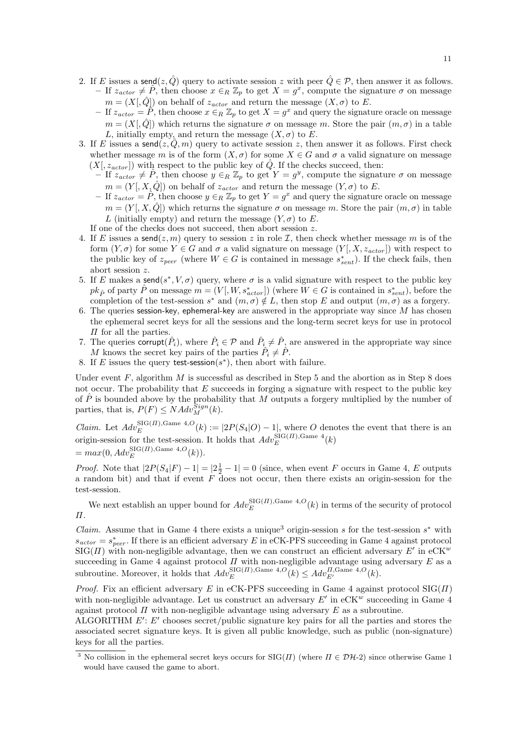- 2. If E issues a send( $z, \hat{Q}$ ) query to activate session z with peer  $\hat{Q} \in \mathcal{P}$ , then answer it as follows. – If  $z_{actor} \neq \hat{P}$ , then choose  $x \in_R \mathbb{Z}_p$  to get  $X = g^x$ , compute the signature  $\sigma$  on message  $m = (X, \hat{Q})$  on behalf of  $z_{actor}$  and return the message  $(X, \sigma)$  to E.
	- If  $z_{actor} = \hat{P}$ , then choose  $x \in_R \mathbb{Z}_p$  to get  $X = g^x$  and query the signature oracle on message  $m = (X, \hat{Q})$  which returns the signature  $\sigma$  on message m. Store the pair  $(m, \sigma)$  in a table L, initially empty, and return the message  $(X, \sigma)$  to E.
- 3. If E issues a send $(z, \hat{Q}, m)$  query to activate session z, then answer it as follows. First check whether message m is of the form  $(X, \sigma)$  for some  $X \in G$  and  $\sigma$  a valid signature on message  $(X, z_{actor})$  with respect to the public key of  $\hat{Q}$ . If the checks succeed, then:
	- If  $z_{actor} \neq \hat{P}$ , then choose  $y \in_R \mathbb{Z}_p$  to get  $Y = g^y$ , compute the signature  $\sigma$  on message  $m = (Y[, X, \hat{Q}]$  on behalf of  $z_{actor}$  and return the message  $(Y, \sigma)$  to E.
	- If  $z_{actor} = \hat{P}$ , then choose  $y \in_R \mathbb{Z}_p$  to get  $Y = g^x$  and query the signature oracle on message  $m = (Y, X, \hat{Q})$  which returns the signature  $\sigma$  on message m. Store the pair  $(m, \sigma)$  in table L (initially empty) and return the message  $(Y, \sigma)$  to E.
	- If one of the checks does not succeed, then abort session z.
- 4. If E issues a send $(z, m)$  query to session z in role I, then check whether message m is of the form  $(Y, \sigma)$  for some  $Y \in G$  and  $\sigma$  a valid signature on message  $(Y[, X, z_{actor}]$  with respect to the public key of  $z_{peer}$  (where  $W \in G$  is contained in message  $s_{sent}^*$ ). If the check fails, then abort session z.
- 5. If E makes a send( $s^*$ ,  $V$ ,  $\sigma$ ) query, where  $\sigma$  is a valid signature with respect to the public key  $pk_{\hat{P}}$  of party  $\hat{P}$  on message  $m = (V, W, s^*_{actor})$  (where  $W \in G$  is contained in  $s^*_{sent}$ ), before the completion of the test-session  $s^*$  and  $(m, \sigma) \notin L$ , then stop E and output  $(m, \sigma)$  as a forgery.
- 6. The queries session-key, ephemeral-key are answered in the appropriate way since  $M$  has chosen the ephemeral secret keys for all the sessions and the long-term secret keys for use in protocol  $\Pi$  for all the parties.
- 7. The queries corrupt $(\hat{P}_i)$ , where  $\hat{P}_i \in \mathcal{P}$  and  $\hat{P}_i \neq \hat{P}$ , are answered in the appropriate way since M knows the secret key pairs of the parties  $\hat{P}_i \neq \hat{P}$ .
- 8. If E issues the query test-session( $s^*$ ), then abort with failure.

Under event  $F$ , algorithm  $M$  is successful as described in Step 5 and the abortion as in Step 8 does not occur. The probability that  $E$  succeeds in forging a signature with respect to the public key of  $P$  is bounded above by the probability that  $M$  outputs a forgery multiplied by the number of parties, that is,  $P(F) \leq NAdv_M^{Sign}(k)$ .

*Claim.* Let  $Adv_E^{\text{SIG}(H), \text{Game 4}, O}(k) := |2P(S_4|O) - 1|$ , where O denotes the event that there is an origin-session for the test-session. It holds that  $Adv_E^{\text{SIG}(H),\text{Game }4}(k)$  $= max(0, Adv_E^{\text{SIG}(H), \text{Game } 4, O}(k)).$ 

*Proof.* Note that  $|2P(S_4|F) - 1| = |2\frac{1}{2} - 1| = 0$  (since, when event F occurs in Game 4, E outputs a random bit) and that if event F does not occur, then there exists an origin-session for the test-session.

We next establish an upper bound for  $Adv_E^{\text{SIG}(H),\text{Game }4,O}(k)$  in terms of the security of protocol Π.

*Claim.* Assume that in Game 4 there exists a unique<sup>3</sup> origin-session s for the test-session s<sup>\*</sup> with  $s_{actor} = s_{peer}^*$ . If there is an efficient adversary E in eCK-PFS succeeding in Game 4 against protocol  $\text{SIG}(H)$  with non-negligible advantage, then we can construct an efficient adversary E' in eCK<sup>w</sup> succeeding in Game 4 against protocol  $\Pi$  with non-negligible advantage using adversary  $E$  as a subroutine. Moreover, it holds that  $Adv_E^{\text{SIG}(H), \text{Game } 4, O}(k) \leq Adv_{E'}^{H, \text{Game } 4, O}(k)$ .

*Proof.* Fix an efficient adversary E in eCK-PFS succeeding in Game 4 against protocol  $\text{SIG}(I)$ with non-negligible advantage. Let us construct an adversary  $E'$  in  $eCK^w$  succeeding in Game 4 against protocol  $\Pi$  with non-negligible advantage using adversary  $E$  as a subroutine.

ALGORITHM  $E'$ :  $E'$  chooses secret/public signature key pairs for all the parties and stores the associated secret signature keys. It is given all public knowledge, such as public (non-signature) keys for all the parties.

<sup>&</sup>lt;sup>3</sup> No collision in the ephemeral secret keys occurs for SIG( $\Pi$ ) (where  $\Pi \in \mathcal{DH-2}$ ) since otherwise Game 1 would have caused the game to abort.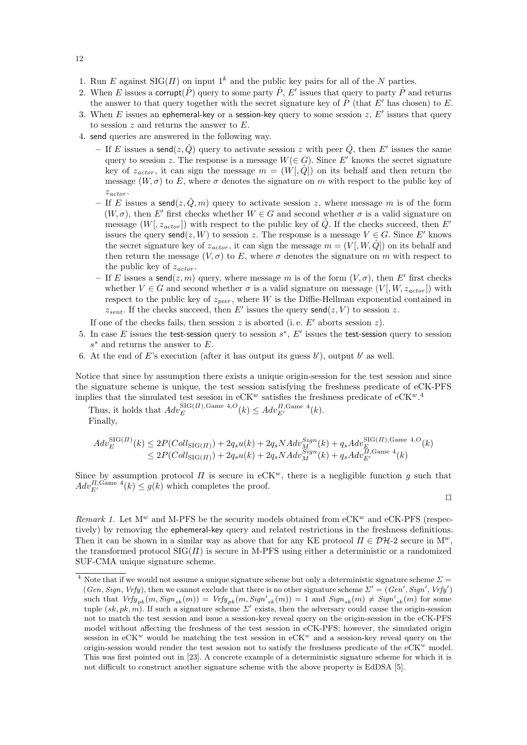- 1. Run E against  $\text{SIG}(H)$  on input  $1^k$  and the public key pairs for all of the N parties.
- 2. When E issues a corrupt( $\hat{P}$ ) query to some party  $\hat{P}$ , E' issues that query to party  $\hat{P}$  and returns the answer to that query together with the secret signature key of  $\hat{P}$  (that E' has chosen) to E.
- 3. When  $E$  issues an ephemeral-key or a session-key query to some session  $z$ ,  $E'$  issues that query to session  $z$  and returns the answer to  $E$ .
- 4. send queries are answered in the following way.
	- If E issues a send $(z, \hat{Q})$  query to activate session z with peer  $\hat{Q}$ , then E' issues the same query to session z. The response is a message  $W(\in G)$ . Since E' knows the secret signature key of  $z_{actor}$ , it can sign the message  $m = (W, \hat{Q})$  on its behalf and then return the message  $(W, \sigma)$  to E, where  $\sigma$  denotes the signature on m with respect to the public key of  $z_{actor}$ .
	- If E issues a send $(z, \hat{Q}, m)$  query to activate session z, where message m is of the form  $(W, \sigma)$ , then E' first checks whether  $W \in G$  and second whether  $\sigma$  is a valid signature on message  $(W, z_{actor})$  with respect to the public key of  $\hat{Q}$ . If the checks succeed, then E' issues the query send( $z, W$ ) to session z. The response is a message  $V \in G$ . Since E' knows the secret signature key of  $z_{actor}$ , it can sign the message  $m = (V, W, \hat{Q})$  on its behalf and then return the message  $(V, \sigma)$  to E, where  $\sigma$  denotes the signature on m with respect to the public key of  $z_{actor}$ .
	- If E issues a send(z, m) query, where message m is of the form  $(V, \sigma)$ , then E' first checks whether  $V \in G$  and second whether  $\sigma$  is a valid signature on message  $(V, W, z_{actor})$  with respect to the public key of  $z_{peer}$ , where W is the Diffie-Hellman exponential contained in  $z_{sent}$ . If the checks succeed, then E' issues the query send(z, V) to session z.
	- If one of the checks fails, then session z is aborted (i.e.  $E'$  aborts session z).
- 5. In case E issues the test-session query to session  $s^*$ , E' issues the test-session query to session  $s^*$  and returns the answer to  $E$ .
- 6. At the end of E's execution (after it has output its guess  $b'$ ), output  $b'$  as well.

Notice that since by assumption there exists a unique origin-session for the test session and since the signature scheme is unique, the test session satisfying the freshness predicate of eCK-PFS implies that the simulated test session in eCK<sup>w</sup> satisfies the freshness predicate of eCK<sup>w</sup>.<sup>4</sup>

Thus, it holds that  $Adv_{E}^{\text{SIG}(H), \text{Game } 4, O}(k) \leq Adv_{E'}^{H, \text{Game } 4}(k)$ . Finally,

$$
Adv_E^{\text{SIG}(H)}(k) \le 2P(Coll_{\text{SIG}(H)}) + 2q_s u(k) + 2q_s NAdv_M^{Sign}(k) + q_s Adv_E^{\text{SIG}(H), \text{Game 4}, O}(k)
$$
  

$$
\le 2P(Coll_{\text{SIG}(H)}) + 2q_s u(k) + 2q_s NAdv_M^{Sign}(k) + q_s Adv_E^{H, \text{Game 4}}(k)
$$

Since by assumption protocol  $\Pi$  is secure in eCK<sup>w</sup>, there is a negligible function g such that  $Adv_{E'}^{H, Game 4}(k) \leq g(k)$  which completes the proof.

$$
\Box
$$

Remark 1. Let  $M^w$  and M-PFS be the security models obtained from eCK<sup>w</sup> and eCK-PFS (respectively) by removing the ephemeral-key query and related restrictions in the freshness definitions. Then it can be shown in a similar way as above that for any KE protocol  $\Pi \in \mathcal{DH}\text{-}2$  secure in  $\mathcal{M}^w$ , the transformed protocol  $\text{SIG}(H)$  is secure in M-PFS using either a deterministic or a randomized SUF-CMA unique signature scheme.

<sup>&</sup>lt;sup>4</sup> Note that if we would not assume a unique signature scheme but only a deterministic signature scheme  $\Sigma$  =  $(Gen, Sign, Vrfy)$ , then we cannot exclude that there is no other signature scheme  $\Sigma' = (Gen', Sign', Vrfy')$ such that  $Vrfy_{pk}(m, Sign_{sk}(m)) = Vrfy_{pk}(m,Sign'_{sk}(m)) = 1$  and  $Sign_{sk}(m) \neq Sign'_{sk}(m)$  for some tuple  $(s_k, pk, m)$ . If such a signature scheme  $\Sigma'$  exists, then the adversary could cause the origin-session not to match the test session and issue a session-key reveal query on the origin-session in the eCK-PFS model without affecting the freshness of the test session in eCK-PFS; however, the simulated origin session in  $eCK^w$  would be matching the test session in  $eCK^w$  and a session-key reveal query on the origin-session would render the test session not to satisfy the freshness predicate of the  $eCK^w$  model. This was first pointed out in [23]. A concrete example of a deterministic signature scheme for which it is not difficult to construct another signature scheme with the above property is EdDSA [5].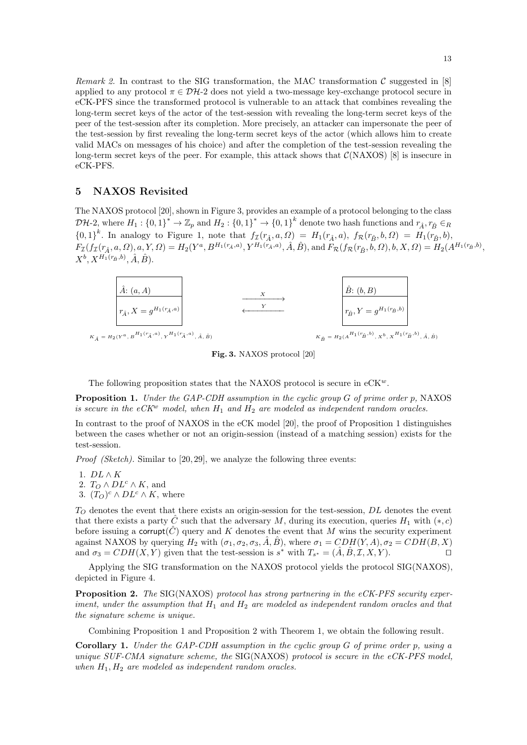Remark 2. In contrast to the SIG transformation, the MAC transformation  $\mathcal C$  suggested in [8] applied to any protocol  $\pi \in \mathcal{D}H-2$  does not yield a two-message key-exchange protocol secure in eCK-PFS since the transformed protocol is vulnerable to an attack that combines revealing the long-term secret keys of the actor of the test-session with revealing the long-term secret keys of the peer of the test-session after its completion. More precisely, an attacker can impersonate the peer of the test-session by first revealing the long-term secret keys of the actor (which allows him to create valid MACs on messages of his choice) and after the completion of the test-session revealing the long-term secret keys of the peer. For example, this attack shows that  $\mathcal{C}(NAXOS)$  [8] is insecure in eCK-PFS.

# 5 NAXOS Revisited

The NAXOS protocol [20], shown in Figure 3, provides an example of a protocol belonging to the class  $\mathcal{DH}\text{-}2$ , where  $H_1: \{0,1\}^* \to \mathbb{Z}_p$  and  $H_2: \{0,1\}^* \to \{0,1\}^k$  denote two hash functions and  $r_{\hat{A}}, r_{\hat{B}} \in_R$  ${0,1}^k$ . In analogy to Figure 1, note that  $f_{\mathcal{I}}(r_{\hat{A}}, a, \Omega) = H_1(r_{\hat{A}}, a), f_{\mathcal{R}}(r_{\hat{B}}, b, \Omega) = H_1(r_{\hat{B}}, b),$  $F_{\mathcal{I}}(f_{\mathcal{I}}(r_{\hat{A}}, a, \Omega), a, Y, \Omega) = H_2(Y^a, B^{H_1(r_{\hat{A}}, a)}, Y^{H_1(r_{\hat{A}}, a)}, \hat{A}, \hat{B}), \text{ and } F_{\mathcal{R}}(f_{\mathcal{R}}(r_{\hat{B}}, b, \Omega), b, X, \Omega) = H_2(A^{H_1(r_{\hat{B}}, b)}, A^{H_1(r_{\hat{B}}, a)}, Y, \Omega)$  $X^b, X^{H_1(r_{\hat{B}},b)}, \hat{A}, \hat{B}).$ 



Fig. 3. NAXOS protocol [20]

The following proposition states that the NAXOS protocol is secure in  $eCK^w$ .

Proposition 1. Under the GAP-CDH assumption in the cyclic group G of prime order p, NAXOS is secure in the eCK<sup>w</sup> model, when  $H_1$  and  $H_2$  are modeled as independent random oracles.

In contrast to the proof of NAXOS in the eCK model [20], the proof of Proposition 1 distinguishes between the cases whether or not an origin-session (instead of a matching session) exists for the test-session.

Proof (Sketch). Similar to [20, 29], we analyze the following three events:

1.  $DL \wedge K$ 

- 2.  $T_O \wedge DL^c \wedge K$ , and
- 3.  $(T_O)^c \wedge DL^c \wedge K$ , where

 $T_O$  denotes the event that there exists an origin-session for the test-session, DL denotes the event that there exists a party  $\hat{C}$  such that the adversary M, during its execution, queries  $H_1$  with  $(*, c)$ before issuing a corrupt( $\hat{C}$ ) query and K denotes the event that M wins the security experiment against NAXOS by querying  $H_2$  with  $(\sigma_1, \sigma_2, \sigma_3, \hat{A}, \hat{B})$ , where  $\sigma_1 = CDH(Y, A), \sigma_2 = CDH(B, X)$ and  $\sigma_3 = CDH(X, Y)$  given that the test-session is  $s^*$  with  $T_{s^*} = (\hat{A}, \hat{B}, \mathcal{I}, X, Y)$ .

Applying the SIG transformation on the NAXOS protocol yields the protocol SIG(NAXOS), depicted in Figure 4.

Proposition 2. The SIG(NAXOS) protocol has strong partnering in the eCK-PFS security experiment, under the assumption that  $H_1$  and  $H_2$  are modeled as independent random oracles and that the signature scheme is unique.

Combining Proposition 1 and Proposition 2 with Theorem 1, we obtain the following result.

**Corollary 1.** Under the GAP-CDH assumption in the cyclic group  $G$  of prime order p, using a unique  $SUF\text{-}CMA$  signature scheme, the  $SIG(NAXOS)$  protocol is secure in the  $eCK\text{-}PFS$  model, when  $H_1, H_2$  are modeled as independent random oracles.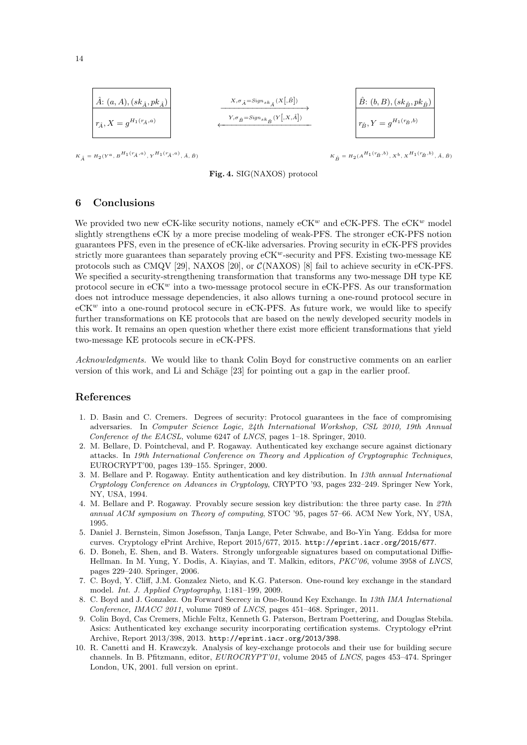$$
\begin{array}{|c|c|c|c|}\hline \hat{A}: (a, A), (sk_{\hat{A}}, pk_{\hat{A}}) & & x_{,\sigma_{\hat{A}} = \text{Sign}_{sk_{\hat{A}}}(X[\hat{B}])} & & \hat{B}: (b, B), (sk_{\hat{B}}, pk_{\hat{B}}) \\\hline r_{\hat{A}}, X = g^{H_1(r_{\hat{A}}, a)} & & & x_{,\sigma_{\hat{B}} = \text{Sign}_{sk_{\hat{B}}}(Y[, X, \hat{A}])} & & & r_{\hat{B}}, Y = g^{H_1(r_{\hat{B}}, b)}\hline \end{array}
$$

 $K_{\hat{A}} = H_2(Y^a, B^{H_1(r_{\hat{A}},a)}, Y^{H_1(r_{\hat{A}},a)})$ 

,  $\hat{A}$ ,  $\hat{B}$ )  $K_{\hat{B}} = H_2(A^{H_1(r_{\hat{B}},b)}, X^b, X^{H_1(r_{\hat{B}},b)}, \hat{A}, \hat{B})$ 

#### Fig. 4. SIG(NAXOS) protocol

# 6 Conclusions

We provided two new eCK-like security notions, namely  $eCK^w$  and  $eCK-PFS$ . The  $eCK^w$  model slightly strengthens eCK by a more precise modeling of weak-PFS. The stronger eCK-PFS notion guarantees PFS, even in the presence of eCK-like adversaries. Proving security in eCK-PFS provides strictly more guarantees than separately proving  $eCK^w$ -security and PFS. Existing two-message KE protocols such as CMQV [29], NAXOS [20], or  $\mathcal{C}(\text{NAXOS})$  [8] fail to achieve security in eCK-PFS. We specified a security-strengthening transformation that transforms any two-message DH type KE protocol secure in  $eCK^w$  into a two-message protocol secure in  $eCK-PFS$ . As our transformation does not introduce message dependencies, it also allows turning a one-round protocol secure in  $eCK^w$  into a one-round protocol secure in  $eCK-PFS$ . As future work, we would like to specify further transformations on KE protocols that are based on the newly developed security models in this work. It remains an open question whether there exist more efficient transformations that yield two-message KE protocols secure in eCK-PFS.

Acknowledgments. We would like to thank Colin Boyd for constructive comments on an earlier version of this work, and Li and Schäge [23] for pointing out a gap in the earlier proof.

#### References

- 1. D. Basin and C. Cremers. Degrees of security: Protocol guarantees in the face of compromising adversaries. In Computer Science Logic, 24th International Workshop, CSL 2010, 19th Annual Conference of the EACSL, volume 6247 of LNCS, pages 1–18. Springer, 2010.
- 2. M. Bellare, D. Pointcheval, and P. Rogaway. Authenticated key exchange secure against dictionary attacks. In 19th International Conference on Theory and Application of Cryptographic Techniques, EUROCRYPT'00, pages 139–155. Springer, 2000.
- 3. M. Bellare and P. Rogaway. Entity authentication and key distribution. In 13th annual International Cryptology Conference on Advances in Cryptology, CRYPTO '93, pages 232–249. Springer New York, NY, USA, 1994.
- 4. M. Bellare and P. Rogaway. Provably secure session key distribution: the three party case. In 27th annual ACM symposium on Theory of computing, STOC '95, pages 57–66. ACM New York, NY, USA, 1995.
- 5. Daniel J. Bernstein, Simon Josefsson, Tanja Lange, Peter Schwabe, and Bo-Yin Yang. Eddsa for more curves. Cryptology ePrint Archive, Report 2015/677, 2015. http://eprint.iacr.org/2015/677.
- 6. D. Boneh, E. Shen, and B. Waters. Strongly unforgeable signatures based on computational Diffie-Hellman. In M. Yung, Y. Dodis, A. Kiayias, and T. Malkin, editors, PKC'06, volume 3958 of LNCS, pages 229–240. Springer, 2006.
- 7. C. Boyd, Y. Cliff, J.M. Gonzalez Nieto, and K.G. Paterson. One-round key exchange in the standard model. Int. J. Applied Cryptography, 1:181–199, 2009.
- 8. C. Boyd and J. Gonzalez. On Forward Secrecy in One-Round Key Exchange. In 13th IMA International Conference, IMACC 2011, volume 7089 of LNCS, pages 451–468. Springer, 2011.
- 9. Colin Boyd, Cas Cremers, Michle Feltz, Kenneth G. Paterson, Bertram Poettering, and Douglas Stebila. Asics: Authenticated key exchange security incorporating certification systems. Cryptology ePrint Archive, Report 2013/398, 2013. http://eprint.iacr.org/2013/398.
- 10. R. Canetti and H. Krawczyk. Analysis of key-exchange protocols and their use for building secure channels. In B. Pfitzmann, editor, EUROCRYPT'01, volume 2045 of LNCS, pages 453–474. Springer London, UK, 2001. full version on eprint.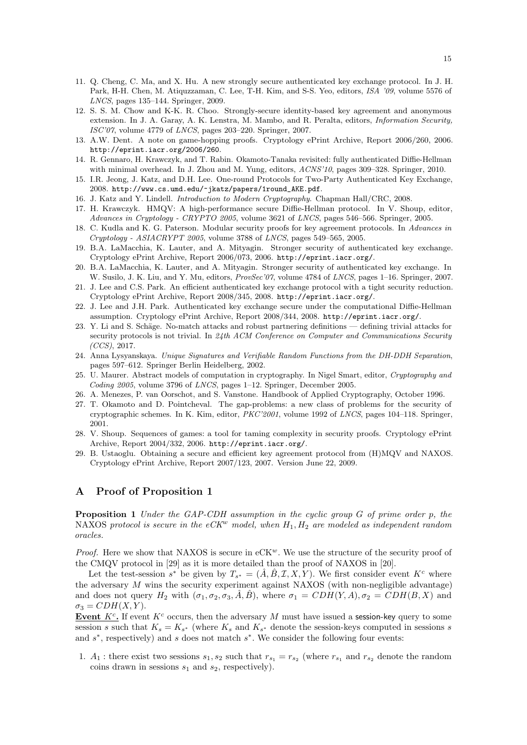- 11. Q. Cheng, C. Ma, and X. Hu. A new strongly secure authenticated key exchange protocol. In J. H. Park, H-H. Chen, M. Atiquzzaman, C. Lee, T-H. Kim, and S-S. Yeo, editors, ISA '09, volume 5576 of LNCS, pages 135–144. Springer, 2009.
- 12. S. S. M. Chow and K-K. R. Choo. Strongly-secure identity-based key agreement and anonymous extension. In J. A. Garay, A. K. Lenstra, M. Mambo, and R. Peralta, editors, Information Security, ISC'07, volume 4779 of LNCS, pages 203–220. Springer, 2007.
- 13. A.W. Dent. A note on game-hopping proofs. Cryptology ePrint Archive, Report 2006/260, 2006. http://eprint.iacr.org/2006/260.
- 14. R. Gennaro, H. Krawczyk, and T. Rabin. Okamoto-Tanaka revisited: fully authenticated Diffie-Hellman with minimal overhead. In J. Zhou and M. Yung, editors, ACNS'10, pages 309–328. Springer, 2010.
- 15. I.R. Jeong, J. Katz, and D.H. Lee. One-round Protocols for Two-Party Authenticated Key Exchange, 2008. http://www.cs.umd.edu/~jkatz/papers/1round\_AKE.pdf.
- 16. J. Katz and Y. Lindell. Introduction to Modern Cryptography. Chapman Hall/CRC, 2008.
- 17. H. Krawczyk. HMQV: A high-performance secure Diffie-Hellman protocol. In V. Shoup, editor, Advances in Cryptology - CRYPTO 2005, volume 3621 of LNCS, pages 546–566. Springer, 2005.
- 18. C. Kudla and K. G. Paterson. Modular security proofs for key agreement protocols. In Advances in  $Cryptology - ASIACRYPT 2005$ , volume 3788 of *LNCS*, pages 549–565, 2005.
- 19. B.A. LaMacchia, K. Lauter, and A. Mityagin. Stronger security of authenticated key exchange. Cryptology ePrint Archive, Report 2006/073, 2006. http://eprint.iacr.org/.
- 20. B.A. LaMacchia, K. Lauter, and A. Mityagin. Stronger security of authenticated key exchange. In W. Susilo, J. K. Liu, and Y. Mu, editors, ProvSec'07, volume 4784 of LNCS, pages 1–16. Springer, 2007.
- 21. J. Lee and C.S. Park. An efficient authenticated key exchange protocol with a tight security reduction. Cryptology ePrint Archive, Report 2008/345, 2008. http://eprint.iacr.org/.
- 22. J. Lee and J.H. Park. Authenticated key exchange secure under the computational Diffie-Hellman assumption. Cryptology ePrint Archive, Report 2008/344, 2008. http://eprint.iacr.org/.
- 23. Y. Li and S. Schäge. No-match attacks and robust partnering definitions defining trivial attacks for security protocols is not trivial. In 24th ACM Conference on Computer and Communications Security  $(CCS)$ , 2017.
- 24. Anna Lysyanskaya. Unique Signatures and Verifiable Random Functions from the DH-DDH Separation, pages 597–612. Springer Berlin Heidelberg, 2002.
- 25. U. Maurer. Abstract models of computation in cryptography. In Nigel Smart, editor, Cryptography and Coding 2005, volume 3796 of LNCS, pages  $1-12$ . Springer, December 2005.
- 26. A. Menezes, P. van Oorschot, and S. Vanstone. Handbook of Applied Cryptography, October 1996.
- 27. T. Okamoto and D. Pointcheval. The gap-problems: a new class of problems for the security of cryptographic schemes. In K. Kim, editor, PKC'2001, volume 1992 of LNCS, pages 104–118. Springer, 2001.
- 28. V. Shoup. Sequences of games: a tool for taming complexity in security proofs. Cryptology ePrint Archive, Report 2004/332, 2006. http://eprint.iacr.org/.
- 29. B. Ustaoglu. Obtaining a secure and efficient key agreement protocol from (H)MQV and NAXOS. Cryptology ePrint Archive, Report 2007/123, 2007. Version June 22, 2009.

# A Proof of Proposition 1

**Proposition 1** Under the GAP-CDH assumption in the cyclic group  $G$  of prime order  $p$ , the NAXOS protocol is secure in the eCK<sup>w</sup> model, when  $H_1, H_2$  are modeled as independent random oracles.

*Proof.* Here we show that NAXOS is secure in  $eCK^w$ . We use the structure of the security proof of the CMQV protocol in [29] as it is more detailed than the proof of NAXOS in [20].

Let the test-session  $s^*$  be given by  $T_{s^*} = (\hat{A}, \hat{B}, \mathcal{I}, X, Y)$ . We first consider event  $K^c$  where the adversary  $M$  wins the security experiment against NAXOS (with non-negligible advantage) and does not query  $H_2$  with  $(\sigma_1, \sigma_2, \sigma_3, \hat{A}, \hat{B})$ , where  $\sigma_1 = CDH(Y, A), \sigma_2 = CDH(B, X)$  and  $\sigma_3 = CDH(X, Y).$ 

Event  $K^c$ . If event  $K^c$  occurs, then the adversary M must have issued a session-key query to some session s such that  $K_s = K_{s^*}$  (where  $K_s$  and  $K_{s^*}$  denote the session-keys computed in sessions s and  $s^*$ , respectively) and s does not match  $s^*$ . We consider the following four events:

1.  $A_1$ : there exist two sessions  $s_1, s_2$  such that  $r_{s_1} = r_{s_2}$  (where  $r_{s_1}$  and  $r_{s_2}$  denote the random coins drawn in sessions  $s_1$  and  $s_2$ , respectively).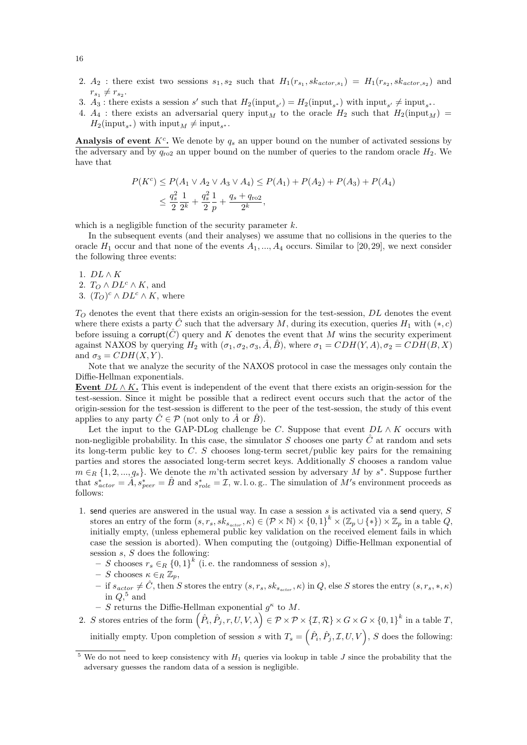- 2.  $A_2$ : there exist two sessions  $s_1, s_2$  such that  $H_1(r_{s_1}, sk_{actor,s_1}) = H_1(r_{s_2}, sk_{actor,s_2})$  and  $r_{s_1} \neq r_{s_2}$ .
- 3.  $A_3$ : there exists a session s' such that  $H_2(\text{input}_{s'}) = H_2(\text{input}_{s^*})$  with  $\text{input}_{s'} \neq \text{input}_{s^*}$ .
- 4.  $A_4$ : there exists an adversarial query input<sub>M</sub> to the oracle  $H_2$  such that  $H_2(\text{input}_M)$  =  $H_2(\text{input}_{s^*})$  with  $\text{input}_M \neq \text{input}_{s^*}$ .

Analysis of event  $K^c$ . We denote by  $q_s$  an upper bound on the number of activated sessions by the adversary and by  $q_{\text{ro2}}$  an upper bound on the number of queries to the random oracle  $H_2$ . We have that

$$
P(K^{c}) \le P(A_{1} \vee A_{2} \vee A_{3} \vee A_{4}) \le P(A_{1}) + P(A_{2}) + P(A_{3}) + P(A_{4})
$$
  
 
$$
\le \frac{q_{s}^{2}}{2} \frac{1}{2^{k}} + \frac{q_{s}^{2}}{2} \frac{1}{p} + \frac{q_{s} + q_{\text{ro2}}}{2^{k}},
$$

which is a negligible function of the security parameter  $k$ .

In the subsequent events (and their analyses) we assume that no collisions in the queries to the oracle  $H_1$  occur and that none of the events  $A_1, ..., A_4$  occurs. Similar to [20, 29], we next consider the following three events:

- 1.  $DL \wedge K$
- 2.  $T_O \wedge DL^c \wedge K$ , and
- 3.  $(T_O)^c \wedge DL^c \wedge K$ , where

 $T_O$  denotes the event that there exists an origin-session for the test-session,  $DL$  denotes the event where there exists a party  $\hat{C}$  such that the adversary M, during its execution, queries  $H_1$  with  $(*, c)$ before issuing a corrupt( $\hat{C}$ ) query and K denotes the event that M wins the security experiment against NAXOS by querying  $H_2$  with  $(\sigma_1, \sigma_2, \sigma_3, \hat{A}, \hat{B})$ , where  $\sigma_1 = CDH(Y, A), \sigma_2 = CDH(B, X)$ and  $\sigma_3 = CDH(X, Y)$ .

Note that we analyze the security of the NAXOS protocol in case the messages only contain the Diffie-Hellman exponentials.

Event  $DL \wedge K$ . This event is independent of the event that there exists an origin-session for the test-session. Since it might be possible that a redirect event occurs such that the actor of the origin-session for the test-session is different to the peer of the test-session, the study of this event applies to any party  $C \in \mathcal{P}$  (not only to A or B).

Let the input to the GAP-DLog challenge be C. Suppose that event  $DL \wedge K$  occurs with non-negligible probability. In this case, the simulator S chooses one party  $\hat{C}$  at random and sets its long-term public key to  $C. S$  chooses long-term secret/public key pairs for the remaining parties and stores the associated long-term secret keys. Additionally S chooses a random value  $m \in_R \{1, 2, ..., q_s\}$ . We denote the m'th activated session by adversary M by s<sup>\*</sup>. Suppose further that  $s_{actor}^* = \hat{A}, s_{peer}^* = \hat{B}$  and  $s_{role}^* = \mathcal{I}, \text{ w.l.o.g.}$ . The simulation of M's environment proceeds as follows:

- 1. send queries are answered in the usual way. In case a session  $s$  is activated via a send query,  $S$ stores an entry of the form  $(s, r_s, sk_{s_{actor}}, \kappa) \in (\mathcal{P} \times \mathbb{N}) \times \{0,1\}^k \times (\mathbb{Z}_p \cup \{*\}) \times \mathbb{Z}_p$  in a table  $Q$ , initially empty, (unless ephemeral public key validation on the received element fails in which case the session is aborted). When computing the (outgoing) Diffie-Hellman exponential of session  $s$ ,  $S$  does the following:
	- − S chooses  $r_s \in_R \{0,1\}^k$  (i.e. the randomness of session s),
	- S chooses κ ∈<sup>R</sup> Zp,
	- $-$  if  $s_{actor} \neq \hat{C}$ , then S stores the entry  $(s, r_s, sk_{s_{actor}}, \kappa)$  in Q, else S stores the entry  $(s, r_s, *, \kappa)$ in  $Q,^5$  and
	- S returns the Diffie-Hellman exponential  $g^{\kappa}$  to M.
- 2. S stores entries of the form  $(\hat{P}_i, \hat{P}_j, r, U, V, \lambda) \in \mathcal{P} \times \mathcal{P} \times \{ \mathcal{I}, \mathcal{R} \} \times G \times G \times \{0,1\}^k$  in a table T, initially empty. Upon completion of session s with  $T_s = (\hat{P}_i, \hat{P}_j, \mathcal{I}, U, V)$ , S does the following:

16

<sup>&</sup>lt;sup>5</sup> We do not need to keep consistency with  $H_1$  queries via lookup in table J since the probability that the adversary guesses the random data of a session is negligible.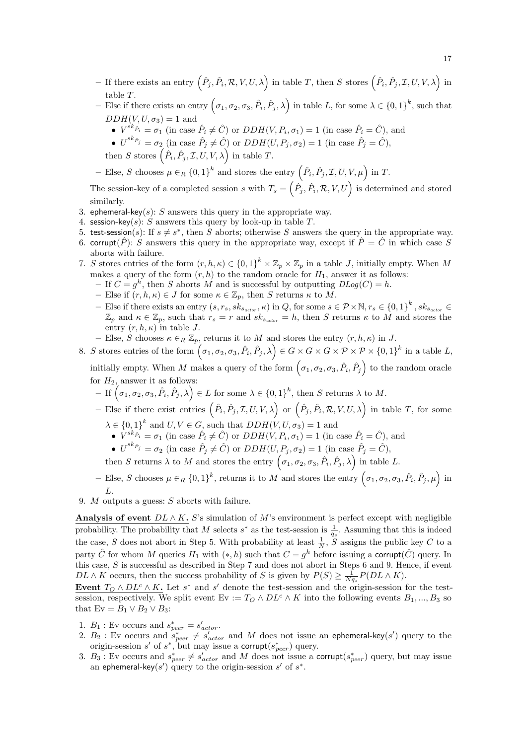- If there exists an entry  $(\hat{P}_j, \hat{P}_i, \mathcal{R}, V, U, \lambda)$  in table T, then S stores  $(\hat{P}_i, \hat{P}_j, \mathcal{I}, U, V, \lambda)$  in table T.
- Else if there exists an entry  $(\sigma_1, \sigma_2, \sigma_3, \hat{P}_i, \hat{P}_j, \lambda)$  in table L, for some  $\lambda \in \{0,1\}^k$ , such that  $DDH(V, U, \sigma_3) = 1$  and
	- $V^{sk_{\hat{P}_i}} = \sigma_1$  (in case  $\hat{P}_i \neq \hat{C}$ ) or  $DDH(V, P_i, \sigma_1) = 1$  (in case  $\hat{P}_i = \hat{C}$ ), and
	- $U^{sk_{\hat{P}_j}} = \sigma_2$  (in case  $\hat{P}_j \neq \hat{C}$ ) or  $DDH(U, P_j, \sigma_2) = 1$  (in case  $\hat{P}_j = \hat{C}$ ),
	- then S stores  $(\hat{P}_i, \hat{P}_j, \mathcal{I}, U, V, \lambda)$  in table T.
- Else, S chooses  $\mu \in_R \{0,1\}^k$  and stores the entry  $(\hat{P}_i, \hat{P}_j, \mathcal{I}, U, V, \mu)$  in T.

The session-key of a completed session s with  $T_s = (\hat{P}_j, \hat{P}_i, \mathcal{R}, V, U)$  is determined and stored similarly.

- 3. ephemeral-key(s): S answers this query in the appropriate way.
- 4. session-key(s): S answers this query by look-up in table  $T$ .
- 5. test-session(s): If  $s \neq s^*$ , then S aborts; otherwise S answers the query in the appropriate way.
- 6. corrupt( $\hat{P}$ ): S answers this query in the appropriate way, except if  $\hat{P} = \hat{C}$  in which case S aborts with failure.
- 7. S stores entries of the form  $(r, h, \kappa) \in \{0, 1\}^k \times \mathbb{Z}_p \times \mathbb{Z}_p$  in a table J, initially empty. When M makes a query of the form  $(r, h)$  to the random oracle for  $H_1$ , answer it as follows:
	- If  $C = g^h$ , then S aborts M and is successful by outputting  $DLog(C) = h$ .
	- Else if  $(r, h, \kappa) \in J$  for some  $\kappa \in \mathbb{Z}_p$ , then S returns  $\kappa$  to M.
	- Else if there exists an entry  $(s, r_s, sk_{s_{actor}}, \kappa)$  in Q, for some  $s \in \mathcal{P} \times \mathbb{N}, r_s \in \{0,1\}^k$ ,  $sk_{s_{actor}} \in$  $\mathbb{Z}_p$  and  $\kappa \in \mathbb{Z}_p$ , such that  $r_s = r$  and  $sk_{s_{actor}} = h$ , then S returns  $\kappa$  to M and stores the entry  $(r, h, \kappa)$  in table J.
	- Else, S chooses  $\kappa \in_R \mathbb{Z}_p$ , returns it to M and stores the entry  $(r, h, \kappa)$  in J.
- 8. S stores entries of the form  $(\sigma_1, \sigma_2, \sigma_3, \hat{P}_i, \hat{P}_j, \lambda) \in G \times G \times G \times \mathcal{P} \times \mathcal{P} \times \{0,1\}^k$  in a table L,

initially empty. When M makes a query of the form  $(\sigma_1, \sigma_2, \sigma_3, \hat{P}_i, \hat{P}_j)$  to the random oracle for  $H_2$ , answer it as follows:

- $-Iif\left(\sigma_1,\sigma_2,\sigma_3,\hat{P}_i,\hat{P}_j,\lambda\right)\in L$  for some  $\lambda\in\{0,1\}^k$ , then S returns  $\lambda$  to M.
- Else if there exist entries  $(\hat{P}_i, \hat{P}_j, \mathcal{I}, U, V, \lambda)$  or  $(\hat{P}_j, \hat{P}_i, \mathcal{R}, V, U, \lambda)$  in table T, for some  $\lambda \in \{0,1\}^k$  and  $U, V \in G$ , such that  $DDH(V, U, \sigma_3) = 1$  and
	- $V^{sk_{\hat{P}_i}} = \sigma_1$  (in case  $\hat{P}_i \neq \hat{C}$ ) or  $DDH(V, P_i, \sigma_1) = 1$  (in case  $\hat{P}_i = \hat{C}$ ), and
	- $U^{sk_{\hat{P}_j}} = \sigma_2$  (in case  $\hat{P}_j \neq \hat{C}$ ) or  $DDH(U, P_j, \sigma_2) = 1$  (in case  $\hat{P}_j = \hat{C}$ ),
	- then S returns  $\lambda$  to M and stores the entry  $(\sigma_1, \sigma_2, \sigma_3, \hat{P}_i, \hat{P}_j, \lambda)$  in table L.
- Else, S chooses  $\mu \in_R \{0,1\}^k$ , returns it to M and stores the entry  $(\sigma_1, \sigma_2, \sigma_3, \hat{P}_i, \hat{P}_j, \mu)$  in  $L$ .
- 9. M outputs a guess: S aborts with failure.

Analysis of event  $DL \wedge K$ . S's simulation of M's environment is perfect except with negligible probability. The probability that M selects  $s^*$  as the test-session is  $\frac{1}{q_s}$ . Assuming that this is indeed the case, S does not abort in Step 5. With probability at least  $\frac{1}{N}$ , S assigns the public key C to a party  $\hat{C}$  for whom M queries  $H_1$  with  $(*, h)$  such that  $C = g^h$  before issuing a corrupt $(\hat{C})$  query. In this case,  $S$  is successful as described in Step 7 and does not abort in Steps 6 and 9. Hence, if event  $DL \wedge K$  occurs, then the success probability of S is given by  $P(S) \geq \frac{1}{Nq_s}P(DL \wedge K)$ .

Event  $T_O \wedge DL^c \wedge K$ . Let s<sup>\*</sup> and s' denote the test-session and the origin-session for the testsession, respectively. We split event Ev :=  $T_O \wedge DL^c \wedge K$  into the following events  $B_1, ..., B_3$  so that  $Ev = B_1 \vee B_2 \vee B_3$ :

- 1.  $B_1$ : Ev occurs and  $s^*_{peer} = s'_{actor}$ .
- 2.  $B_2$ : Ev occurs and  $s_{peer}^* \neq s_{actor}'$  and M does not issue an ephemeral-key(s') query to the origin-session s' of s<sup>\*</sup>, but may issue a corrupt( $s^*_{peer}$ ) query.
- 3.  $B_3$ : Ev occurs and  $s_{peer}^* \neq s_{actor}'$  and M does not issue a corrupt $(s_{peer}^*)$  query, but may issue an ephemeral-key(s') query to the origin-session s' of  $s^*$ .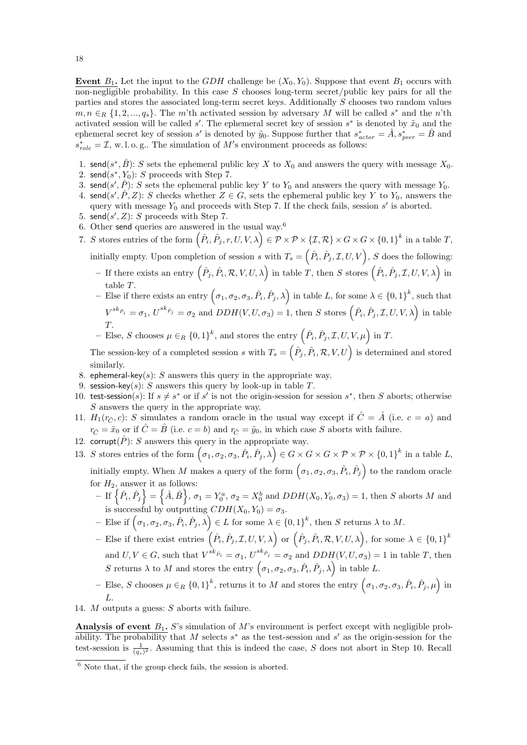Event  $B_1$ . Let the input to the GDH challenge be  $(X_0, Y_0)$ . Suppose that event  $B_1$  occurs with non-negligible probability. In this case  $S$  chooses long-term secret/public key pairs for all the parties and stores the associated long-term secret keys. Additionally S chooses two random values  $m, n \in_R \{1, 2, ..., q_s\}$ . The m'th activated session by adversary M will be called  $s^*$  and the n'th activated session will be called  $s'$ . The ephemeral secret key of session  $s^*$  is denoted by  $\tilde{x}_0$  and the ephemeral secret key of session s' is denoted by  $\tilde{y}_0$ . Suppose further that  $s^*_{actor} = \hat{A}, s^*_{peer} = \hat{B}$  and  $s_{role}^* = \mathcal{I}$ , w.l.o.g.. The simulation of M's environment proceeds as follows:

1. send $(s^*, \hat{B})$ : S sets the ephemeral public key X to  $X_0$  and answers the query with message  $X_0$ .

- 2. send $(s^*, Y_0)$ : S proceeds with Step 7.
- 3. send $(s', \hat{P})$ : S sets the ephemeral public key Y to Y<sub>0</sub> and answers the query with message Y<sub>0</sub>.
- 4. send $(s', \hat{P}, Z)$ : S checks whether  $Z \in G$ , sets the ephemeral public key Y to Y<sub>0</sub>, answers the query with message  $Y_0$  and proceeds with Step 7. If the check fails, session  $s'$  is aborted.
- 5. send $(s', Z)$ : S proceeds with Step 7.
- 6. Other send queries are answered in the usual way. $6$
- 7. S stores entries of the form  $(\hat{P}_i, \hat{P}_j, r, U, V, \lambda) \in \mathcal{P} \times \mathcal{P} \times \{ \mathcal{I}, \mathcal{R} \} \times G \times G \times \{0,1\}^k$  in a table T,

initially empty. Upon completion of session s with  $T_s = (\hat{P}_i, \hat{P}_j, \mathcal{I}, U, V)$ , S does the following:

- If there exists an entry  $(\hat{P}_j, \hat{P}_i, \mathcal{R}, V, U, \lambda)$  in table T, then S stores  $(\hat{P}_i, \hat{P}_j, \mathcal{I}, U, V, \lambda)$  in table T.
- Else if there exists an entry  $(\sigma_1, \sigma_2, \sigma_3, \hat{P}_i, \hat{P}_j, \lambda)$  in table L, for some  $\lambda \in \{0,1\}^k$ , such that  $V^{sk}\hat{P}_i = \sigma_1, U^{sk}\hat{P}_j = \sigma_2$  and  $DDH(V, U, \sigma_3) = 1$ , then S stores  $(\hat{P}_i, \hat{P}_j, \mathcal{I}, U, V, \lambda)$  in table  $T.$
- Else, S chooses  $\mu \in_R \{0,1\}^k$ , and stores the entry  $(\hat{P}_i, \hat{P}_j, \mathcal{I}, U, V, \mu)$  in T.

The session-key of a completed session s with  $T_s = (\hat{P}_j, \hat{P}_i, \mathcal{R}, V, U)$  is determined and stored similarly.

- 8. ephemeral-key(s): S answers this query in the appropriate way.
- 9. session-key(s): S answers this query by look-up in table T.
- 10. test-session(s): If  $s \neq s^*$  or if s' is not the origin-session for session  $s^*$ , then S aborts; otherwise S answers the query in the appropriate way.
- 11.  $H_1(r_{\hat{C}}, c)$ : S simulates a random oracle in the usual way except if  $\hat{C} = \hat{A}$  (i.e.  $c = a$ ) and  $r_{\hat{C}} = \tilde{x}_0$  or if  $\tilde{C} = \tilde{B}$  (i.e.  $c = b$ ) and  $r_{\hat{C}} = \tilde{y}_0$ , in which case S aborts with failure.
- 12. corrupt( $\hat{P}$ ): S answers this query in the appropriate way.
- 13. S stores entries of the form  $(\sigma_1, \sigma_2, \sigma_3, \hat{P}_i, \hat{P}_j, \lambda) \in G \times G \times G \times \mathcal{P} \times \{0,1\}^k$  in a table L, initially empty. When M makes a query of the form  $(\sigma_1, \sigma_2, \sigma_3, \hat{P}_i, \hat{P}_j)$  to the random oracle for  $H_2$ , answer it as follows:
	- $-$  If  $\left\{\hat{P}_i,\hat{P}_j\right\} = \left\{\hat{A},\hat{B}\right\}, \sigma_1 = Y_0^a, \sigma_2 = X_0^b$  and  $DDH(X_0,Y_0,\sigma_3) = 1$ , then S aborts M and is successful by outputting  $CDH(X_0, Y_0) = \sigma_3$ .
	- Else if  $(\sigma_1, \sigma_2, \sigma_3, \hat{P}_i, \hat{P}_j, \lambda) \in L$  for some  $\lambda \in \{0,1\}^k$ , then S returns  $\lambda$  to M.
	- Else if there exist entries  $(\hat{P}_i, \hat{P}_j, \mathcal{I}, U, V, \lambda)$  or  $(\hat{P}_j, \hat{P}_i, \mathcal{R}, V, U, \lambda)$ , for some  $\lambda \in \{0, 1\}^k$ and  $U, V \in G$ , such that  $V^{sk}\hat{P}_i = \sigma_1$ ,  $U^{sk}\hat{P}_j = \sigma_2$  and  $DDH(V, U, \sigma_3) = 1$  in table T, then S returns  $\lambda$  to M and stores the entry  $(\sigma_1, \sigma_2, \sigma_3, \hat{P}_i, \hat{P}_j, \lambda)$  in table L.
	- Else, S chooses  $\mu \in_R \{0,1\}^k$ , returns it to M and stores the entry  $(\sigma_1, \sigma_2, \sigma_3, \hat{P}_i, \hat{P}_j, \mu)$  in L.

14. M outputs a guess: S aborts with failure.

Analysis of event  $B_1$ . S's simulation of M's environment is perfect except with negligible probability. The probability that M selects  $s^*$  as the test-session and  $s'$  as the origin-session for the test-session is  $\frac{1}{(q_s)^2}$ . Assuming that this is indeed the case, S does not abort in Step 10. Recall

 $6$  Note that, if the group check fails, the session is aborted.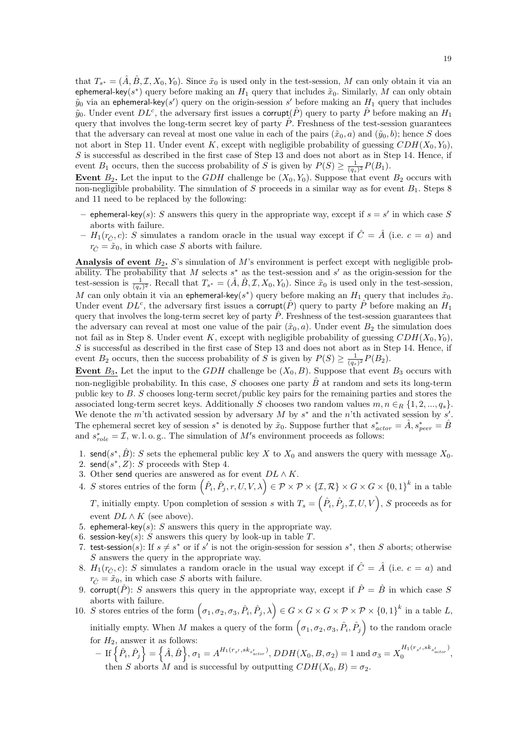that  $T_{s^*} = (\hat{A}, \hat{B}, \mathcal{I}, X_0, Y_0)$ . Since  $\tilde{x}_0$  is used only in the test-session, M can only obtain it via an ephemeral-key( $s^*$ ) query before making an  $H_1$  query that includes  $\tilde{x}_0$ . Similarly, M can only obtain  $\tilde{y}_0$  via an ephemeral-key(s') query on the origin-session s' before making an  $H_1$  query that includes  $\tilde{y}_0$ . Under event  $DL^c$ , the adversary first issues a corrupt( $\hat{P}$ ) query to party  $\hat{P}$  before making an  $H_1$ query that involves the long-term secret key of party  $\hat{P}$ . Freshness of the test-session guarantees that the adversary can reveal at most one value in each of the pairs  $(\tilde{x}_0, a)$  and  $(\tilde{y}_0, b)$ ; hence S does not abort in Step 11. Under event K, except with negligible probability of guessing  $CDH(X_0, Y_0)$ ,  $S$  is successful as described in the first case of Step 13 and does not abort as in Step 14. Hence, if event  $B_1$  occurs, then the success probability of S is given by  $P(S) \geq \frac{1}{(q_s)^2} P(B_1)$ .

Event  $B_2$ . Let the input to the GDH challenge be  $(X_0, Y_0)$ . Suppose that event  $B_2$  occurs with non-negligible probability. The simulation of S proceeds in a similar way as for event  $B_1$ . Steps 8 and 11 need to be replaced by the following:

- ephemeral-key(s): S answers this query in the appropriate way, except if  $s = s'$  in which case S aborts with failure.
- $H_1(r_{\hat{C}}, c)$ : S simulates a random oracle in the usual way except if  $\hat{C} = \hat{A}$  (i.e.  $c = a$ ) and  $r_{\hat{C}} = \tilde{x}_0$ , in which case S aborts with failure.

Analysis of event  $B_2$ . S's simulation of M's environment is perfect except with negligible probability. The probability that M selects  $s^*$  as the test-session and  $s'$  as the origin-session for the test-session is  $\frac{1}{(q_s)^2}$ . Recall that  $T_{s^*} = (\hat{A}, \hat{B}, \mathcal{I}, X_0, Y_0)$ . Since  $\tilde{x}_0$  is used only in the test-session, M can only obtain it via an ephemeral-key(s<sup>\*</sup>) query before making an  $H_1$  query that includes  $\tilde{x}_0$ . Under event  $DL^c$ , the adversary first issues a corrupt( $\hat{P}$ ) query to party  $\hat{P}$  before making an  $H_1$ query that involves the long-term secret key of party  $\hat{P}$ . Freshness of the test-session guarantees that the adversary can reveal at most one value of the pair  $(\tilde{x}_0, a)$ . Under event  $B_2$  the simulation does not fail as in Step 8. Under event K, except with negligible probability of guessing  $CDH(X_0, Y_0)$ , S is successful as described in the first case of Step 13 and does not abort as in Step 14. Hence, if event  $B_2$  occurs, then the success probability of S is given by  $P(S) \geq \frac{1}{(q_s)^2} P(B_2)$ .

Event  $B_3$ . Let the input to the GDH challenge be  $(X_0, B)$ . Suppose that event  $B_3$  occurs with non-negligible probability. In this case, S chooses one party  $\hat{B}$  at random and sets its long-term public key to B. S chooses long-term secret/public key pairs for the remaining parties and stores the associated long-term secret keys. Additionally S chooses two random values  $m, n \in_R \{1, 2, ..., q_s\}.$ We denote the m'th activated session by adversary M by  $s^*$  and the n'th activated session by  $s'$ . The ephemeral secret key of session  $s^*$  is denoted by  $\tilde{x}_0$ . Suppose further that  $s^*_{actor} = \hat{A}, s^*_{peer} = \hat{B}$ and  $s_{role}^* = \mathcal{I}$ , w.l.o.g.. The simulation of M's environment proceeds as follows:

- 1. send $(s^*, \hat{B})$ : S sets the ephemeral public key X to  $X_0$  and answers the query with message  $X_0$ .
- 2. send $(s^*, Z)$ : S proceeds with Step 4.
- 3. Other send queries are answered as for event  $DL \wedge K$ .
- 4. S stores entries of the form  $(\hat{P}_i, \hat{P}_j, r, U, V, \lambda) \in \mathcal{P} \times \mathcal{P} \times \{\mathcal{I}, \mathcal{R}\} \times G \times G \times \{0, 1\}^k$  in a table T, initially empty. Upon completion of session s with  $T_s = (\hat{P}_i, \hat{P}_j, \mathcal{I}, U, V)$ , S proceeds as for event  $DL \wedge K$  (see above).
- 5. ephemeral-key(s): S answers this query in the appropriate way.
- 6. session-key(s): S answers this query by look-up in table T.
- 7. test-session(s): If  $s \neq s^*$  or if s' is not the origin-session for session s<sup>\*</sup>, then S aborts; otherwise S answers the query in the appropriate way.
- 8.  $H_1(r_{\hat{C}}, c)$ : S simulates a random oracle in the usual way except if  $\hat{C} = \hat{A}$  (i.e.  $c = a$ ) and  $r_{\hat{C}} = \tilde{x}_0$ , in which case S aborts with failure.
- 9. corrupt( $\hat{P}$ ): S answers this query in the appropriate way, except if  $\hat{P} = \hat{B}$  in which case S aborts with failure.
- 10. S stores entries of the form  $(\sigma_1, \sigma_2, \sigma_3, \hat{P}_i, \hat{P}_j, \lambda) \in G \times G \times G \times \mathcal{P} \times \{0,1\}^k$  in a table L, initially empty. When M makes a query of the form  $(\sigma_1, \sigma_2, \sigma_3, \hat{P}_i, \hat{P}_j)$  to the random oracle for  $H_2$ , answer it as follows:
	- $\left\{ \hat{H},\hat{P}_j\right\} =\left\{ \hat{A},\hat{B}\right\} ,\sigma_{1}=A^{H_{1}(r_{s'},sk_{s'_{actor}})},DDH(X_0,B,\sigma_{2})=1\text{ and }\sigma_{3}=X_0^{H_{1}(r_{s'},sk_{s'_{actor}})},$  $\frac{1}{0}$ ,  $\frac{s_{actor}}{s_{actor}}$ , then S aborts M and is successful by outputting  $CDH(X_0, B) = \sigma_2$ .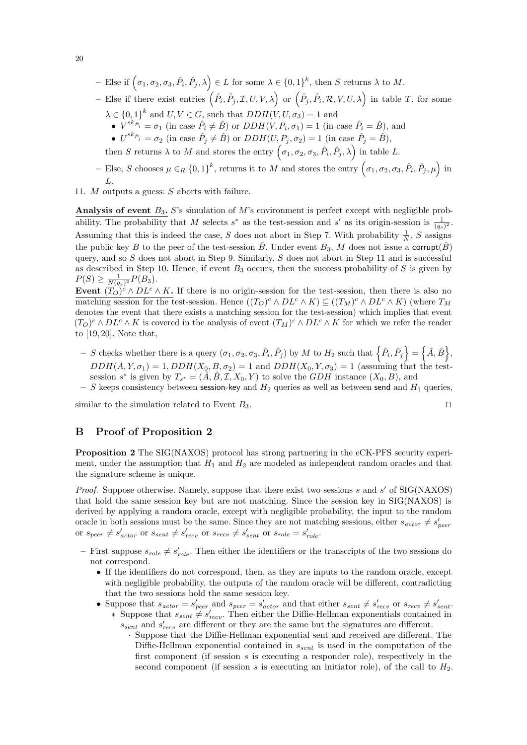- Else if  $(\sigma_1, \sigma_2, \sigma_3, \hat{P}_i, \hat{P}_j, \lambda) \in L$  for some  $\lambda \in \{0,1\}^k$ , then S returns  $\lambda$  to M.
- Else if there exist entries  $(\hat{P}_i, \hat{P}_j, \mathcal{I}, U, V, \lambda)$  or  $(\hat{P}_j, \hat{P}_i, \mathcal{R}, V, U, \lambda)$  in table T, for some  $\lambda \in \{0,1\}^k$  and  $U, V \in G$ , such that  $DDH(V, U, \sigma_3) = 1$  and
	- $V^{sk_{\hat{P}_i}} = \sigma_1$  (in case  $\hat{P}_i \neq \hat{B}$ ) or  $DDH(V, P_i, \sigma_1) = 1$  (in case  $\hat{P}_i = \hat{B}$ ), and
	- $U^{sk_{\hat{P}_j}} = \sigma_2$  (in case  $\hat{P}_j \neq \hat{B}$ ) or  $DDH(U, P_j, \sigma_2) = 1$  (in case  $\hat{P}_j = \hat{B}$ ),
	- then S returns  $\lambda$  to M and stores the entry  $(\sigma_1, \sigma_2, \sigma_3, \hat{P}_i, \hat{P}_j, \lambda)$  in table L.
- Else, S chooses  $\mu \in_R \{0,1\}^k$ , returns it to M and stores the entry  $(\sigma_1, \sigma_2, \sigma_3, \hat{P}_i, \hat{P}_j, \mu)$  in  $L$
- 11. M outputs a guess: S aborts with failure.

**Analysis of event**  $B_3$ . S's simulation of M's environment is perfect except with negligible probability. The probability that M selects  $s^*$  as the test-session and  $s'$  as its origin-session is  $\frac{1}{(q_s)^2}$ . Assuming that this is indeed the case, S does not abort in Step 7. With probability  $\frac{1}{N}$ , S assigns the public key B to the peer of the test-session  $\hat{B}$ . Under event  $B_3$ , M does not issue a corrupt( $\hat{B}$ ) query, and so S does not abort in Step 9. Similarly, S does not abort in Step 11 and is successful as described in Step 10. Hence, if event  $B_3$  occurs, then the success probability of S is given by  $P(S) \ge \frac{1}{N(q_s)^2} P(B_3).$ 

Event  $(T_O)^c \wedge DL^c \wedge K$ . If there is no origin-session for the test-session, then there is also no matching session for the test-session. Hence  $((T_O)^c \wedge DL^c \wedge K) \subseteq ((T_M)^c \wedge DL^c \wedge K)$  (where  $T_M$ denotes the event that there exists a matching session for the test-session) which implies that event  $(T_O)^c \wedge DL^c \wedge K$  is covered in the analysis of event  $(T_M)^c \wedge DL^c \wedge K$  for which we refer the reader to [19, 20]. Note that,

- $-S$  checks whether there is a query  $(\sigma_1, \sigma_2, \sigma_3, \hat{P}_i, \hat{P}_j)$  by M to  $H_2$  such that  $\left\{\hat{P}_i, \hat{P}_j\right\} = \left\{\hat{A}, \hat{B}\right\}$ ,  $DDH(A, Y, \sigma_1) = 1, DDH(X_0, B, \sigma_2) = 1$  and  $DDH(X_0, Y, \sigma_3) = 1$  (assuming that the testsession  $s^*$  is given by  $T_{s^*} = (\hat{A}, \hat{B}, \mathcal{I}, X_0, Y)$  to solve the  $GDH$  instance  $(X_0, B)$ , and
- S keeps consistency between session-key and  $H_2$  queries as well as between send and  $H_1$  queries,

similar to the simulation related to Event  $B_3$ .

# B Proof of Proposition 2

Proposition 2 The SIG(NAXOS) protocol has strong partnering in the eCK-PFS security experiment, under the assumption that  $H_1$  and  $H_2$  are modeled as independent random oracles and that the signature scheme is unique.

*Proof.* Suppose otherwise. Namely, suppose that there exist two sessions  $s$  and  $s'$  of SIG(NAXOS) that hold the same session key but are not matching. Since the session key in SIG(NAXOS) is derived by applying a random oracle, except with negligible probability, the input to the random oracle in both sessions must be the same. Since they are not matching sessions, either  $s_{actor} \neq s'_{peer}$ or  $s_{peer} \neq s'_{actor}$  or  $s_{sent} \neq s'_{recv}$  or  $s_{recv} \neq s'_{sent}$  or  $s_{role} = s'_{role}$ .

- First suppose  $s_{role} \neq s'_{role}$ . Then either the identifiers or the transcripts of the two sessions do not correspond.
	- If the identifiers do not correspond, then, as they are inputs to the random oracle, except with negligible probability, the outputs of the random oracle will be different, contradicting that the two sessions hold the same session key.
	- Suppose that  $s_{actor} = s'_{peer}$  and  $s_{peer} = s'_{actor}$  and that either  $s_{sent} \neq s'_{recv}$  or  $s_{recv} \neq s'_{sent}$ . ∗ Suppose that  $s_{sent} \neq s'_{recv}$ . Then either the Diffie-Hellman exponentials contained in  $s_{sent}$  and  $s'_{recv}$  are different or they are the same but the signatures are different.
		- · Suppose that the Diffie-Hellman exponential sent and received are different. The Diffie-Hellman exponential contained in  $s_{sent}$  is used in the computation of the first component (if session  $s$  is executing a responder role), respectively in the second component (if session s is executing an initiator role), of the call to  $H_2$ .

$$
\overline{}
$$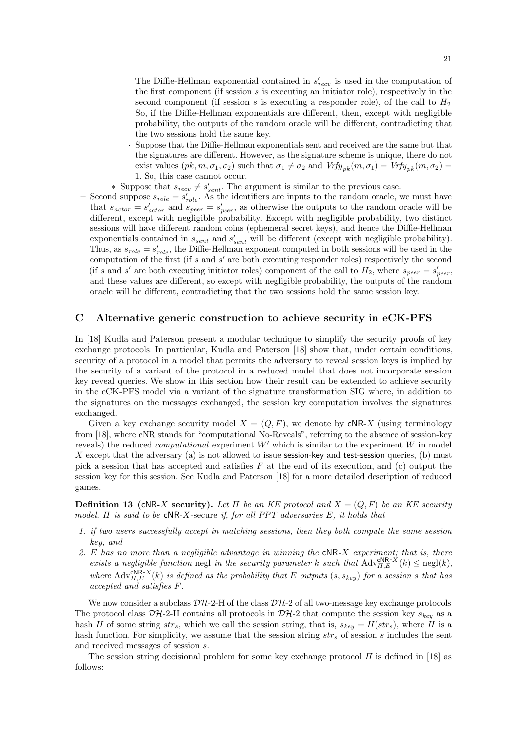The Diffie-Hellman exponential contained in  $s'_{recv}$  is used in the computation of the first component (if session  $s$  is executing an initiator role), respectively in the second component (if session s is executing a responder role), of the call to  $H_2$ . So, if the Diffie-Hellman exponentials are different, then, except with negligible probability, the outputs of the random oracle will be different, contradicting that the two sessions hold the same key.

· Suppose that the Diffie-Hellman exponentials sent and received are the same but that the signatures are different. However, as the signature scheme is unique, there do not exist values  $(pk, m, \sigma_1, \sigma_2)$  such that  $\sigma_1 \neq \sigma_2$  and  $Vrfy_{pk}(m, \sigma_1) = Vrfy_{pk}(m, \sigma_2)$ 1. So, this case cannot occur.

∗ Suppose that  $s_{recv} \neq s'_{sent}$ . The argument is similar to the previous case.

- Second suppose  $s_{role} = s'_{role}$ . As the identifiers are inputs to the random oracle, we must have that  $s_{actor} = s'_{actor}$  and  $s_{peer} = s'_{peer}$ , as otherwise the outputs to the random oracle will be different, except with negligible probability. Except with negligible probability, two distinct sessions will have different random coins (ephemeral secret keys), and hence the Diffie-Hellman exponentials contained in  $s_{sent}$  and  $s'_{sent}$  will be different (except with negligible probability). Thus, as  $s_{role} = s'_{role}$ , the Diffie-Hellman exponent computed in both sessions will be used in the computation of the first (if  $s$  and  $s'$  are both executing responder roles) respectively the second (if s and s' are both executing initiator roles) component of the call to  $H_2$ , where  $s_{peer} = s'_{peer}$ , and these values are different, so except with negligible probability, the outputs of the random oracle will be different, contradicting that the two sessions hold the same session key.

# C Alternative generic construction to achieve security in eCK-PFS

In [18] Kudla and Paterson present a modular technique to simplify the security proofs of key exchange protocols. In particular, Kudla and Paterson [18] show that, under certain conditions, security of a protocol in a model that permits the adversary to reveal session keys is implied by the security of a variant of the protocol in a reduced model that does not incorporate session key reveal queries. We show in this section how their result can be extended to achieve security in the eCK-PFS model via a variant of the signature transformation SIG where, in addition to the signatures on the messages exchanged, the session key computation involves the signatures exchanged.

Given a key exchange security model  $X = (Q, F)$ , we denote by cNR-X (using terminology from [18], where cNR stands for "computational No-Reveals", referring to the absence of session-key reveals) the reduced *computational* experiment  $W'$  which is similar to the experiment  $W$  in model X except that the adversary (a) is not allowed to issue session-key and test-session queries, (b) must pick a session that has accepted and satisfies  $F$  at the end of its execution, and (c) output the session key for this session. See Kudla and Paterson [18] for a more detailed description of reduced games.

**Definition 13 (cNR-X security).** Let  $\Pi$  be an KE protocol and  $X = (Q, F)$  be an KE security model.  $\Pi$  is said to be  $\mathsf{cNR}\text{-}X\text{-}secure}$  if, for all PPT adversaries E, it holds that

- 1. if two users successfully accept in matching sessions, then they both compute the same session key, and
- 2. E has no more than a negligible advantage in winning the cNR-X experiment; that is, there exists a negligible function negl in the security parameter k such that  $Adv_{\Pi,E}^{CNR-X}(k) \leq negl(k)$ , where  $\text{Adv}_{\Pi,E}^{\text{cNR-}X}(k)$  is defined as the probability that E outputs  $(s, s_{key})$  for a session s that has accepted and satisfies F.

We now consider a subclass  $\mathcal{D}H-2-H$  of the class  $\mathcal{D}H-2$  of all two-message key exchange protocols. The protocol class  $\mathcal{D}H$ -2-H contains all protocols in  $\mathcal{D}H$ -2 that compute the session key  $s_{key}$  as a hash H of some string  $str_s$ , which we call the session string, that is,  $s_{keq} = H(str_s)$ , where H is a hash function. For simplicity, we assume that the session string  $str<sub>s</sub>$  of session s includes the sent and received messages of session s.

The session string decisional problem for some key exchange protocol  $\Pi$  is defined in [18] as follows: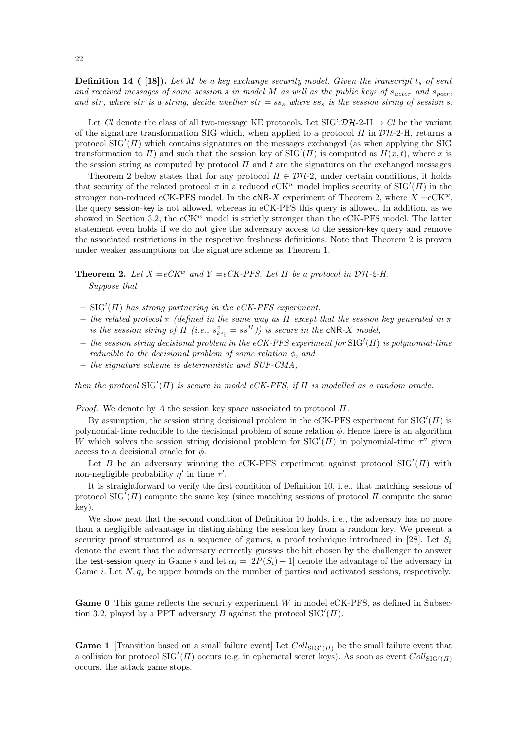**Definition 14** ( [18]). Let M be a key exchange security model. Given the transcript  $t_s$  of sent and received messages of some session  $s$  in model  $M$  as well as the public keys of  $s_{actor}$  and  $s_{peer}$ , and str, where str is a string, decide whether  $str = ss_s$  where  $ss_s$  is the session string of session s.

Let Cl denote the class of all two-message KE protocols. Let  $SIG':\mathcal{DH}\text{-}2-H \to Cl$  be the variant of the signature transformation SIG which, when applied to a protocol  $\Pi$  in  $\mathcal{D}H-2-H$ , returns a protocol  $\text{SIG}'(H)$  which contains signatures on the messages exchanged (as when applying the SIG transformation to  $\Pi$ ) and such that the session key of  $\text{SIG}'(\Pi)$  is computed as  $H(x, t)$ , where x is the session string as computed by protocol  $\Pi$  and  $t$  are the signatures on the exchanged messages.

Theorem 2 below states that for any protocol  $\Pi \in \mathcal{D}H-2$ , under certain conditions, it holds that security of the related protocol  $\pi$  in a reduced eCK<sup>w</sup> model implies security of SIG'( $\Pi$ ) in the stronger non-reduced eCK-PFS model. In the cNR-X experiment of Theorem 2, where  $X = eCK^w$ , the query session-key is not allowed, whereas in eCK-PFS this query is allowed. In addition, as we showed in Section 3.2, the eCK<sup>w</sup> model is strictly stronger than the eCK-PFS model. The latter statement even holds if we do not give the adversary access to the session-key query and remove the associated restrictions in the respective freshness definitions. Note that Theorem 2 is proven under weaker assumptions on the signature scheme as Theorem 1.

**Theorem 2.** Let  $X = eCK^w$  and  $Y = eCK-PFS$ . Let  $\Pi$  be a protocol in  $\mathcal{D}H$ -2-H. Suppose that

- $-$  SIG'( $\Pi$ ) has strong partnering in the eCK-PFS experiment,
- the related protocol  $\pi$  (defined in the same way as  $\Pi$  except that the session key generated in  $\pi$ is the session string of  $\Pi$  (i.e.,  $s_{key}^{\pi} = ss^{\Pi}$ )) is secure in the  $\text{cNR-}X$  model,
- $-$  the session string decisional problem in the eCK-PFS experiment for SIG'( $\Pi$ ) is polynomial-time reducible to the decisional problem of some relation  $\phi$ , and
- the signature scheme is deterministic and SUF-CMA,

then the protocol  $\text{SIG}'(\Pi)$  is secure in model eCK-PFS, if H is modelled as a random oracle.

*Proof.* We denote by  $\Lambda$  the session key space associated to protocol  $\Pi$ .

By assumption, the session string decisional problem in the eCK-PFS experiment for  $\text{SIG}'(I)$  is polynomial-time reducible to the decisional problem of some relation  $\phi$ . Hence there is an algorithm W which solves the session string decisional problem for  $\text{SIG}'(H)$  in polynomial-time  $\tau''$  given access to a decisional oracle for  $\phi$ .

Let B be an adversary winning the eCK-PFS experiment against protocol  $\text{SIG}'(H)$  with non-negligible probability  $\eta'$  in time  $\tau'$ .

It is straightforward to verify the first condition of Definition 10, i. e., that matching sessions of protocol  $\text{SIG}^{\prime}(H)$  compute the same key (since matching sessions of protocol  $H$  compute the same key).

We show next that the second condition of Definition 10 holds, i.e., the adversary has no more than a negligible advantage in distinguishing the session key from a random key. We present a security proof structured as a sequence of games, a proof technique introduced in [28]. Let  $S_i$ denote the event that the adversary correctly guesses the bit chosen by the challenger to answer the test-session query in Game i and let  $\alpha_i = |2P(S_i) - 1|$  denote the advantage of the adversary in Game i. Let  $N, q_s$  be upper bounds on the number of parties and activated sessions, respectively.

**Game 0** This game reflects the security experiment  $W$  in model eCK-PFS, as defined in Subsection 3.2, played by a PPT adversary B against the protocol  $\text{SIG}'(\Pi)$ .

**Game 1** [Transition based on a small failure event] Let  $Coll_{\text{SIG'}(H)}$  be the small failure event that a collision for protocol SIG'( $\Pi$ ) occurs (e.g. in ephemeral secret keys). As soon as event  $Coll_{\text{SIG'}(H)}$ occurs, the attack game stops.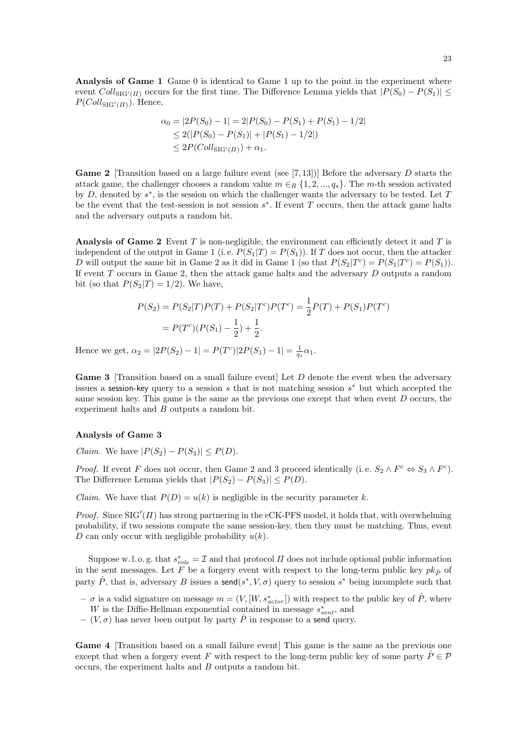Analysis of Game 1 Game 0 is identical to Game 1 up to the point in the experiment where event  $Coll_{\text{SIG'}(H)}$  occurs for the first time. The Difference Lemma yields that  $|P(S_0) - P(S_1)| \le$  $P(Coll_{\text{SIG'}(H)})$ . Hence,

$$
\alpha_0 = |2P(S_0) - 1| = 2|P(S_0) - P(S_1) + P(S_1) - 1/2|
$$
  
\n
$$
\leq 2(|P(S_0) - P(S_1)| + |P(S_1) - 1/2|)
$$
  
\n
$$
\leq 2P(Coll_{\text{SIG}'(II)}) + \alpha_1.
$$

**Game 2** [Transition based on a large failure event (see [7, 13])] Before the adversary D starts the attack game, the challenger chooses a random value  $m \in_R \{1, 2, ..., q_s\}$ . The m-th session activated by  $D$ , denoted by  $s^*$ , is the session on which the challenger wants the adversary to be tested. Let  $T$ be the event that the test-session is not session  $s^*$ . If event T occurs, then the attack game halts and the adversary outputs a random bit.

**Analysis of Game 2** Event  $T$  is non-negligible, the environment can efficiently detect it and  $T$  is independent of the output in Game 1 (i.e.  $P(S_1|T) = P(S_1)$ ). If T does not occur, then the attacker D will output the same bit in Game 2 as it did in Game 1 (so that  $P(S_2|T^c) = P(S_1|T^c) = P(S_1)$ ). If event  $T$  occurs in Game 2, then the attack game halts and the adversary  $D$  outputs a random bit (so that  $P(S_2|T) = 1/2$ ). We have,

$$
P(S_2) = P(S_2|T)P(T) + P(S_2|T^c)P(T^c) = \frac{1}{2}P(T) + P(S_1)P(T^c)
$$
  
=  $P(T^c)(P(S_1) - \frac{1}{2}) + \frac{1}{2}$ .

Hence we get,  $\alpha_2 = |2P(S_2) - 1| = P(T^c)|2P(S_1) - 1| = \frac{1}{q_s}\alpha_1$ .

**Game 3** [Transition based on a small failure event] Let  $D$  denote the event when the adversary issues a session-key query to a session  $s$  that is not matching session  $s^*$  but which accepted the same session key. This game is the same as the previous one except that when event D occurs, the experiment halts and B outputs a random bit.

#### Analysis of Game 3

*Claim.* We have  $|P(S_2) - P(S_3)| \leq P(D)$ .

*Proof.* If event F does not occur, then Game 2 and 3 proceed identically (i.e.  $S_2 \wedge F^c \Leftrightarrow S_3 \wedge F^c$ ). The Difference Lemma yields that  $|P(S_2) - P(S_3)| \leq P(D)$ .

*Claim.* We have that  $P(D) = u(k)$  is negligible in the security parameter k.

*Proof.* Since  $\text{SIG}'(H)$  has strong partnering in the eCK-PFS model, it holds that, with overwhelming probability, if two sessions compute the same session-key, then they must be matching. Thus, event D can only occur with negligible probability  $u(k)$ .

Suppose w.l. o. g. that  $s_{role}^* = \mathcal{I}$  and that protocol  $\Pi$  does not include optional public information in the sent messages. Let F be a forgery event with respect to the long-term public key  $pk_{\hat{P}}$  of party  $\hat{P}$ , that is, adversary B issues a send $(s^*, V, \sigma)$  query to session  $s^*$  being incomplete such that

- $\sigma$  is a valid signature on message  $m = (V, [W, s_{actor}^*])$  with respect to the public key of  $\hat{P}$ , where W is the Diffie-Hellman exponential contained in message  $s_{sent}^*$ , and
- $(V, \sigma)$  has never been output by party  $\hat{P}$  in response to a send query.

Game 4 [Transition based on a small failure event] This game is the same as the previous one except that when a forgery event F with respect to the long-term public key of some party  $\hat{P} \in \mathcal{P}$ occurs, the experiment halts and B outputs a random bit.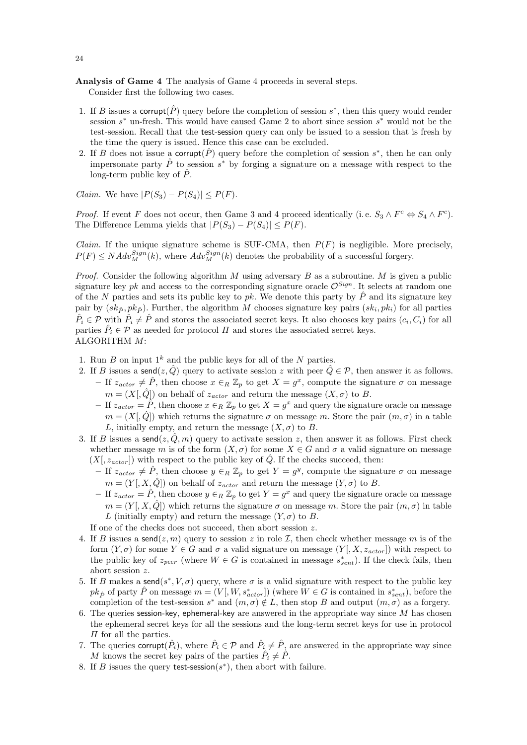Analysis of Game 4 The analysis of Game 4 proceeds in several steps.

Consider first the following two cases.

- 1. If B issues a corrupt( $\hat{P}$ ) query before the completion of session  $s^*$ , then this query would render session  $s^*$  un-fresh. This would have caused Game 2 to abort since session  $s^*$  would not be the test-session. Recall that the test-session query can only be issued to a session that is fresh by the time the query is issued. Hence this case can be excluded.
- 2. If B does not issue a corrupt( $\hat{P}$ ) query before the completion of session  $s^*$ , then he can only impersonate party  $\hat{P}$  to session  $s^*$  by forging a signature on a message with respect to the long-term public key of  $\hat{P}$ .

*Claim.* We have  $|P(S_3) - P(S_4)| \leq P(F)$ .

*Proof.* If event F does not occur, then Game 3 and 4 proceed identically (i.e.  $S_3 \wedge F^c \Leftrightarrow S_4 \wedge F^c$ ). The Difference Lemma yields that  $|P(S_3) - P(S_4)| \leq P(F)$ .

*Claim.* If the unique signature scheme is SUF-CMA, then  $P(F)$  is negligible. More precisely,  $P(F) \le NAdv_M^{Sign}(k)$ , where  $Adv_M^{Sign}(k)$  denotes the probability of a successful forgery.

*Proof.* Consider the following algorithm  $M$  using adversary  $B$  as a subroutine.  $M$  is given a public signature key pk and access to the corresponding signature oracle  $\mathcal{O}^{Sign}$ . It selects at random one of the N parties and sets its public key to pk. We denote this party by  $\hat{P}$  and its signature key pair by  $(sk_{\hat{P}}, pk_{\hat{P}})$ . Further, the algorithm M chooses signature key pairs  $(sk_i, pk_i)$  for all parties  $\hat{P}_i \in \mathcal{P}$  with  $\hat{P}_i \neq \hat{P}$  and stores the associated secret keys. It also chooses key pairs  $(c_i, C_i)$  for all parties  $\hat{P}_i \in \mathcal{P}$  as needed for protocol  $\Pi$  and stores the associated secret keys. ALGORITHM M:

- 1. Run B on input  $1^k$  and the public keys for all of the N parties.
- 2. If B issues a send $(z, \hat{Q})$  query to activate session z with peer  $\hat{Q} \in \mathcal{P}$ , then answer it as follows. – If  $z_{actor} \neq \hat{P}$ , then choose  $x \in_R \mathbb{Z}_p$  to get  $X = g^x$ , compute the signature  $\sigma$  on message  $m = (X, \hat{Q})$  on behalf of  $z_{actor}$  and return the message  $(X, \sigma)$  to B.
	- If  $z_{actor} = \hat{P}$ , then choose  $x \in_R \mathbb{Z}_p$  to get  $X = g^x$  and query the signature oracle on message  $m = (X, \hat{Q})$  which returns the signature  $\sigma$  on message m. Store the pair  $(m, \sigma)$  in a table L, initially empty, and return the message  $(X, \sigma)$  to B.
- 3. If B issues a send $(z, \hat{Q}, m)$  query to activate session z, then answer it as follows. First check whether message m is of the form  $(X, \sigma)$  for some  $X \in G$  and  $\sigma$  a valid signature on message  $(X[, z_{actor}]$ ) with respect to the public key of  $\hat{Q}$ . If the checks succeed, then:
	- If  $z_{actor} \neq \hat{P}$ , then choose  $y \in_R \mathbb{Z}_p$  to get  $Y = g^y$ , compute the signature  $\sigma$  on message  $m = (Y[, X, \hat{Q}]$  on behalf of  $z_{actor}$  and return the message  $(Y, \sigma)$  to B.
	- If  $z_{actor} = \hat{P}$ , then choose  $y \in_R \mathbb{Z}_p$  to get  $Y = g^x$  and query the signature oracle on message  $m = (Y, X, \hat{Q})$  which returns the signature  $\sigma$  on message m. Store the pair  $(m, \sigma)$  in table L (initially empty) and return the message  $(Y, \sigma)$  to B.

If one of the checks does not succeed, then abort session z.

- 4. If B issues a send(z, m) query to session z in role I, then check whether message m is of the form  $(Y, \sigma)$  for some  $Y \in G$  and  $\sigma$  a valid signature on message  $(Y, X, z_{actor})$  with respect to the public key of  $z_{peer}$  (where  $W \in G$  is contained in message  $s_{sent}^*$ ). If the check fails, then abort session z.
- 5. If B makes a send( $s^*$ ,  $V$ ,  $\sigma$ ) query, where  $\sigma$  is a valid signature with respect to the public key  $pk_{\hat{P}}$  of party  $\hat{P}$  on message  $m = (V, W, s^*_{actor})$  (where  $W \in G$  is contained in  $s^*_{sent}$ ), before the completion of the test-session  $s^*$  and  $(m, \sigma) \notin L$ , then stop B and output  $(m, \sigma)$  as a forgery.
- 6. The queries session-key, ephemeral-key are answered in the appropriate way since  $M$  has chosen the ephemeral secret keys for all the sessions and the long-term secret keys for use in protocol  $\Pi$  for all the parties.
- 7. The queries corrupt $(\hat{P}_i)$ , where  $\hat{P}_i \in \mathcal{P}$  and  $\hat{P}_i \neq \hat{P}$ , are answered in the appropriate way since M knows the secret key pairs of the parties  $\hat{P}_i \neq \hat{P}$ .
- 8. If B issues the query test-session( $s^*$ ), then abort with failure.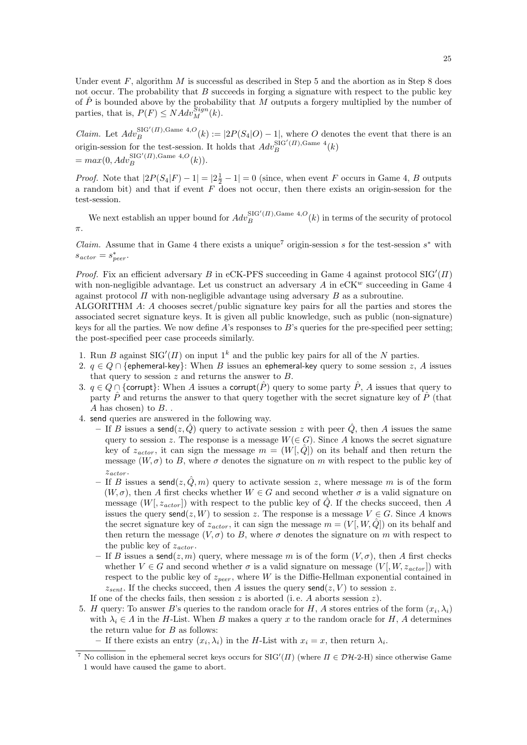Under event  $F$ , algorithm  $M$  is successful as described in Step 5 and the abortion as in Step 8 does not occur. The probability that  $B$  succeeds in forging a signature with respect to the public key of  $\hat{P}$  is bounded above by the probability that M outputs a forgery multiplied by the number of parties, that is,  $P(F) \leq NAdv_M^{Sign}(k)$ .

*Claim.* Let  $Adv_B^{\text{SIG'}(H),\text{Game 4,0}}(k) := |2P(S_4|O) - 1|$ , where O denotes the event that there is an origin-session for the test-session. It holds that  $Adv_B^{\text{SIG}'(H),\text{Game }4}(k)$  $= max(0, Adv_B^{\text{SIG'}(H), \text{Game } 4, O}(k)).$ 

*Proof.* Note that  $|2P(S_4|F) - 1| = |2\frac{1}{2} - 1| = 0$  (since, when event F occurs in Game 4, B outputs a random bit) and that if event  $\overline{F}$  does not occur, then there exists an origin-session for the test-session.

We next establish an upper bound for  $Adv_B^{\text{SIG'}(H),\text{Game }4,O}(k)$  in terms of the security of protocol π.

*Claim.* Assume that in Game 4 there exists a unique<sup>7</sup> origin-session s for the test-session s<sup>\*</sup> with  $s_{actor} = s_{peer}^*$ .

Proof. Fix an efficient adversary B in eCK-PFS succeeding in Game 4 against protocol  $\text{SIG}'(\Pi)$ with non-negligible advantage. Let us construct an adversary  $A$  in  $eCK^w$  succeeding in Game 4 against protocol  $\Pi$  with non-negligible advantage using adversary  $B$  as a subroutine.

ALGORITHM A: A chooses secret/public signature key pairs for all the parties and stores the associated secret signature keys. It is given all public knowledge, such as public (non-signature) keys for all the parties. We now define A's responses to B's queries for the pre-specified peer setting; the post-specified peer case proceeds similarly.

- 1. Run B against  $\text{SIG}'(H)$  on input  $1^k$  and the public key pairs for all of the N parties.
- 2.  $q \in Q \cap \{\text{ephemeral-key}\}\$ : When B issues an ephemeral-key query to some session z, A issues that query to session  $z$  and returns the answer to  $B$ .
- 3.  $q \in Q \cap \{\text{corrupt}\}\colon \text{When } A \text{ issues a corrupt}(\hat{P})$  query to some party  $\hat{P}, A$  issues that query to party  $\hat{P}$  and returns the answer to that query together with the secret signature key of  $\hat{P}$  (that A has chosen) to  $B$ ...

4. send queries are answered in the following way.

- If B issues a send(z,  $\hat{Q}$ ) query to activate session z with peer  $\hat{Q}$ , then A issues the same query to session z. The response is a message  $W(\in G)$ . Since A knows the secret signature key of  $z_{actor}$ , it can sign the message  $m = (W[\hat{Q}])$  on its behalf and then return the message  $(W, \sigma)$  to B, where  $\sigma$  denotes the signature on m with respect to the public key of  $z_{actor}$ .
- If B issues a send $(z, \hat{Q}, m)$  query to activate session z, where message m is of the form  $(W, \sigma)$ , then A first checks whether  $W \in G$  and second whether  $\sigma$  is a valid signature on message  $(W, z_{actor})$  with respect to the public key of  $\hat{Q}$ . If the checks succeed, then A issues the query send( $z, W$ ) to session z. The response is a message  $V \in G$ . Since A knows the secret signature key of  $z_{actor}$ , it can sign the message  $m = (V, W, Q)$  on its behalf and then return the message  $(V, \sigma)$  to B, where  $\sigma$  denotes the signature on m with respect to the public key of  $z_{actor}$ .
- If B issues a send $(z, m)$  query, where message m is of the form  $(V, \sigma)$ , then A first checks whether  $V \in G$  and second whether  $\sigma$  is a valid signature on message  $(V, W, z_{actor})$  with respect to the public key of  $z_{peer}$ , where W is the Diffie-Hellman exponential contained in  $z_{sent}$ . If the checks succeed, then A issues the query send(z, V) to session z.
- If one of the checks fails, then session z is aborted (i.e. A aborts session z).
- 5. H query: To answer B's queries to the random oracle for H, A stores entries of the form  $(x_i, \lambda_i)$ with  $\lambda_i \in \Lambda$  in the H-List. When B makes a query x to the random oracle for H, A determines the return value for  $B$  as follows:

<sup>-</sup> If there exists an entry  $(x_i, \lambda_i)$  in the H-List with  $x_i = x$ , then return  $\lambda_i$ .

<sup>&</sup>lt;sup>7</sup> No collision in the ephemeral secret keys occurs for SIG'( $\Pi$ ) (where  $\Pi \in \mathcal{D}H$ -2-H) since otherwise Game 1 would have caused the game to abort.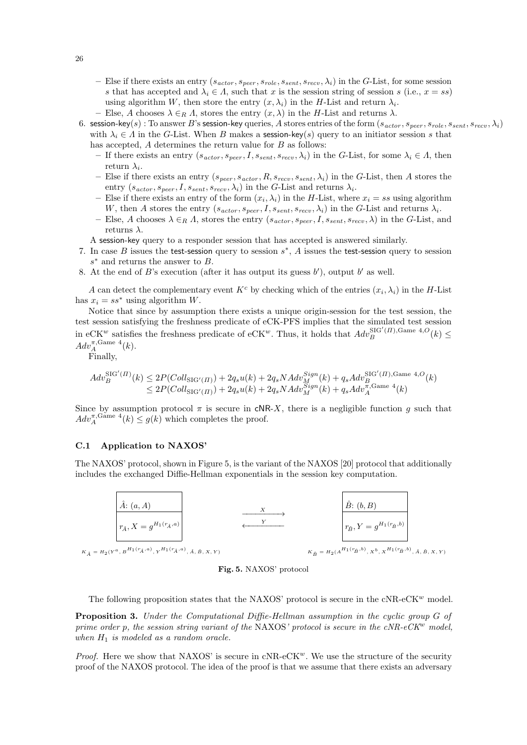- Else if there exists an entry  $(s_{actor}, s_{peer}, s_{role}, s_{sent}, s_{recv}, \lambda_i)$  in the G-List, for some session s that has accepted and  $\lambda_i \in A$ , such that x is the session string of session s (i.e.,  $x = ss$ ) using algorithm W, then store the entry  $(x, \lambda_i)$  in the H-List and return  $\lambda_i$ .
- Else, A chooses  $\lambda \in_R \Lambda$ , stores the entry  $(x, \lambda)$  in the H-List and returns  $\lambda$ .
- 6. session-key(s): To answer B's session-key queries, A stores entries of the form  $(s_{actor}, s_{peer}, s_{role}, s_{sent}, s_{recv}, \lambda_i)$ with  $\lambda_i \in A$  in the G-List. When B makes a session-key(s) query to an initiator session s that has accepted,  $A$  determines the return value for  $B$  as follows:
	- If there exists an entry  $(s_{actor}, s_{peer}, I, s_{sent}, s_{recv}, \lambda_i)$  in the G-List, for some  $\lambda_i \in \Lambda$ , then return  $\lambda_i$ .
	- Else if there exists an entry  $(s_{peer}, s_{actor}, R, s_{recv}, s_{sent}, \lambda_i)$  in the G-List, then A stores the entry  $(s_{actor}, s_{peer}, I, s_{sent}, s_{recv}, \lambda_i)$  in the G-List and returns  $\lambda_i$ .
	- Else if there exists an entry of the form  $(x_i, \lambda_i)$  in the H-List, where  $x_i = ss$  using algorithm W, then A stores the entry  $(s_{actor}, s_{peer}, I, s_{sent}, s_{recv}, \lambda_i)$  in the G-List and returns  $\lambda_i$ .
	- Else, A chooses  $\lambda \in_R \Lambda$ , stores the entry  $(s_{actor}, s_{peer}, I, s_{sent}, s_{recv}, \lambda)$  in the G-List, and returns  $\lambda$ .

A session-key query to a responder session that has accepted is answered similarly.

- 7. In case B issues the test-session query to session  $s^*$ , A issues the test-session query to session  $s^*$  and returns the answer to B.
- 8. At the end of  $B$ 's execution (after it has output its guess  $b'$ ), output  $b'$  as well.

A can detect the complementary event  $K^c$  by checking which of the entries  $(x_i, \lambda_i)$  in the H-List has  $x_i = ss^*$  using algorithm W.

Notice that since by assumption there exists a unique origin-session for the test session, the test session satisfying the freshness predicate of eCK-PFS implies that the simulated test session in eCK<sup>w</sup> satisfies the freshness predicate of eCK<sup>w</sup>. Thus, it holds that  $Adv_B^{\text{SIG'}(H),\text{Game }4,0}(k) \leq$  $Adv^{\pi, \text{Game } 4}_{A}(k)$ .

Finally,

$$
Adv_B^{\text{SIG'}(H)}(k) \le 2P(Coll_{\text{SIG'}(H)}) + 2q_s u(k) + 2q_s NAdv_M^{Sign}(k) + q_s Adv_B^{\text{SIG'}(H), \text{Game 4}, O}(k) \n\le 2P(Coll_{\text{SIG'}(H)}) + 2q_s u(k) + 2q_s NAdv_M^{Sign}(k) + q_s Adv_A^{\pi, \text{Game 4}}(k)
$$

Since by assumption protocol  $\pi$  is secure in cNR-X, there is a negligible function g such that  $Adv_A^{\pi,\text{Game }4}(k) \leq g(k)$  which completes the proof.

#### C.1 Application to NAXOS'

The NAXOS' protocol, shown in Figure 5, is the variant of the NAXOS [20] protocol that additionally includes the exchanged Diffie-Hellman exponentials in the session key computation.



Fig. 5. NAXOS' protocol

The following proposition states that the NAXOS' protocol is secure in the  $\text{cNR}\text{-}\text{cCK}^w$  model.

Proposition 3. Under the Computational Diffie-Hellman assumption in the cyclic group G of prime order p, the session string variant of the NAXOS' protocol is secure in the  $cNR\text{-}cCK^w$  model, when  $H_1$  is modeled as a random oracle.

*Proof.* Here we show that NAXOS' is secure in  $cNR\text{-}cCK^w$ . We use the structure of the security proof of the NAXOS protocol. The idea of the proof is that we assume that there exists an adversary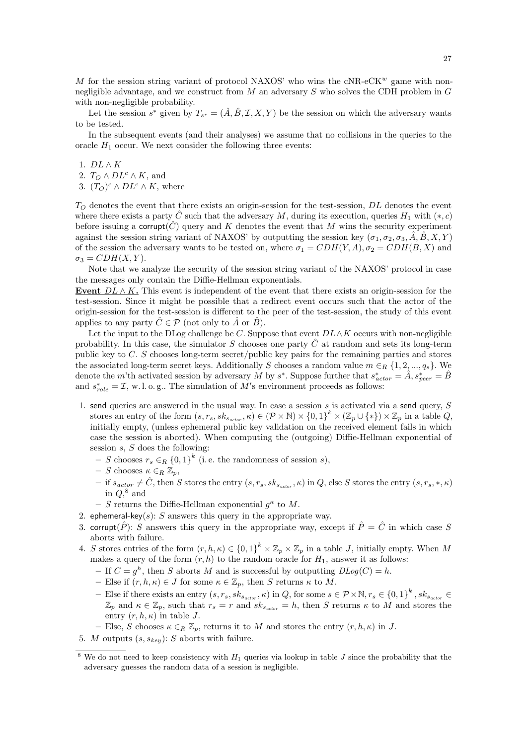$M$  for the session string variant of protocol NAXOS' who wins the cNR-eCK<sup>w</sup> game with nonnegligible advantage, and we construct from  $M$  an adversary  $S$  who solves the CDH problem in  $G$ with non-negligible probability.

Let the session  $s^*$  given by  $T_{s^*} = (\hat{A}, \hat{B}, \mathcal{I}, X, Y)$  be the session on which the adversary wants to be tested.

In the subsequent events (and their analyses) we assume that no collisions in the queries to the oracle  $H_1$  occur. We next consider the following three events:

1.  $DL \wedge K$ 

- 2.  $T_O \wedge DL^c \wedge K$ , and
- 3.  $(T_O)^c \wedge DL^c \wedge K$ , where

 $T_O$  denotes the event that there exists an origin-session for the test-session, DL denotes the event where there exists a party C<sup> $\dot{C}$ </sup> such that the adversary M, during its execution, queries  $H_1$  with  $(*, c)$ before issuing a corrupt( $\hat{C}$ ) query and K denotes the event that M wins the security experiment against the session string variant of NAXOS' by outputting the session key  $(\sigma_1, \sigma_2, \sigma_3, \hat{A}, \hat{B}, X, Y)$ of the session the adversary wants to be tested on, where  $\sigma_1 = CDH(Y, A), \sigma_2 = CDH(B, X)$  and  $\sigma_3 = CDH(X, Y).$ 

Note that we analyze the security of the session string variant of the NAXOS' protocol in case the messages only contain the Diffie-Hellman exponentials.

Event  $DL \wedge K$ . This event is independent of the event that there exists an origin-session for the test-session. Since it might be possible that a redirect event occurs such that the actor of the origin-session for the test-session is different to the peer of the test-session, the study of this event applies to any party  $C \in \mathcal{P}$  (not only to  $\overline{A}$  or  $\overline{B}$ ).

Let the input to the DLog challenge be C. Suppose that event  $DL\wedge K$  occurs with non-negligible probability. In this case, the simulator S chooses one party  $\ddot{C}$  at random and sets its long-term public key to C. S chooses long-term secret/public key pairs for the remaining parties and stores the associated long-term secret keys. Additionally S chooses a random value  $m \in_R \{1, 2, ..., q_s\}$ . We denote the m'th activated session by adversary M by s<sup>\*</sup>. Suppose further that  $s_{actor}^* = \hat{A}, s_{peer}^* = \hat{B}$ and  $s_{role}^* = \mathcal{I}$ , w.l.o.g.. The simulation of M's environment proceeds as follows:

- 1. send queries are answered in the usual way. In case a session  $s$  is activated via a send query,  $S$ stores an entry of the form  $(s, r_s, sk_{s_{actor}}, \kappa) \in (\mathcal{P} \times \mathbb{N}) \times \{0,1\}^k \times (\mathbb{Z}_p \cup \{*\}) \times \mathbb{Z}_p$  in a table  $Q$ , initially empty, (unless ephemeral public key validation on the received element fails in which case the session is aborted). When computing the (outgoing) Diffie-Hellman exponential of session  $s, S$  does the following:
	- − S chooses  $r_s \in_R \{0,1\}^k$  (i.e. the randomness of session s),
	- $S$  chooses  $\kappa \in_R \mathbb{Z}_n$ ,
	- $-$  if  $s_{actor} \neq \hat{C}$ , then S stores the entry  $(s, r_s, sk_{s_{actor}}, \kappa)$  in Q, else S stores the entry  $(s, r_s, *, \kappa)$ in  $Q,^8$  and
	- S returns the Diffie-Hellman exponential  $g^{\kappa}$  to M.
- 2. ephemeral-key(s): S answers this query in the appropriate way.
- 3. corrupt( $\hat{P}$ ): S answers this query in the appropriate way, except if  $\hat{P} = \hat{C}$  in which case S aborts with failure.
- 4. S stores entries of the form  $(r, h, \kappa) \in \{0, 1\}^k \times \mathbb{Z}_p \times \mathbb{Z}_p$  in a table J, initially empty. When M makes a query of the form  $(r, h)$  to the random oracle for  $H_1$ , answer it as follows:
	- If  $C = g^h$ , then S aborts M and is successful by outputting  $DLog(C) = h$ .
	- Else if  $(r, h, \kappa) \in J$  for some  $\kappa \in \mathbb{Z}_p$ , then S returns  $\kappa$  to M.
	- Else if there exists an entry  $(s, r_s, sk_{s_{actor}}, \kappa)$  in Q, for some  $s \in \mathcal{P} \times \mathbb{N}, r_s \in \{0,1\}^k$ ,  $sk_{s_{actor}} \in$  $\mathbb{Z}_p$  and  $\kappa \in \mathbb{Z}_p$ , such that  $r_s = r$  and  $sk_{s_{actor}} = h$ , then S returns  $\kappa$  to M and stores the entry  $(r, h, \kappa)$  in table J.
	- Else, S chooses  $\kappa \in_R \mathbb{Z}_p$ , returns it to M and stores the entry  $(r, h, \kappa)$  in J.
- 5. M outputs  $(s, s_{key})$ : S aborts with failure.

<sup>&</sup>lt;sup>8</sup> We do not need to keep consistency with  $H_1$  queries via lookup in table J since the probability that the adversary guesses the random data of a session is negligible.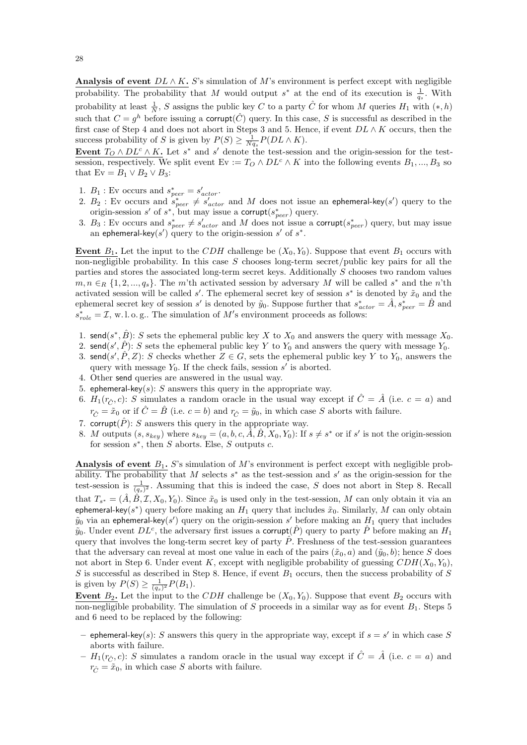Analysis of event  $DL \wedge K$ . S's simulation of M's environment is perfect except with negligible probability. The probability that M would output  $s^*$  at the end of its execution is  $\frac{1}{q_s}$ . With probability at least  $\frac{1}{N}$ , S assigns the public key C to a party  $\hat{C}$  for whom M queries  $H_1$  with  $(*, h)$ such that  $C = g^h$  before issuing a corrupt( $\hat{C}$ ) query. In this case, S is successful as described in the first case of Step 4 and does not abort in Steps 3 and 5. Hence, if event  $DL \wedge K$  occurs, then the success probability of S is given by  $P(S) \geq \frac{1}{Nq_s} P(DL \wedge K)$ .

Event  $T_O \wedge DL^c \wedge K$ . Let s<sup>\*</sup> and s' denote the test-session and the origin-session for the testsession, respectively. We split event Ev :=  $T_O \wedge DL^c \wedge K$  into the following events  $B_1, ..., B_3$  so that  $Ev = B_1 \vee B_2 \vee B_3$ :

- 1.  $B_1$ : Ev occurs and  $s_{peer}^* = s_{actor}'.$
- 2.  $B_2$ : Ev occurs and  $s_{peer}^* \neq s_{actor}'$  and M does not issue an ephemeral-key(s') query to the origin-session s' of  $s^*$ , but may issue a corrupt $(s^*_{peer})$  query.
- 3.  $B_3$ : Ev occurs and  $s_{peer}^* \neq s_{actor}'$  and M does not issue a corrupt $(s_{peer}^*)$  query, but may issue an ephemeral-key(s') query to the origin-session s' of  $s^*$ .

Event  $B_1$ . Let the input to the CDH challenge be  $(X_0, Y_0)$ . Suppose that event  $B_1$  occurs with non-negligible probability. In this case  $S$  chooses long-term secret/public key pairs for all the parties and stores the associated long-term secret keys. Additionally S chooses two random values  $m, n \in_R \{1, 2, ..., q_s\}$ . The m'th activated session by adversary M will be called  $s^*$  and the n'th activated session will be called  $s'$ . The ephemeral secret key of session  $s^*$  is denoted by  $\tilde{x}_0$  and the ephemeral secret key of session s' is denoted by  $\tilde{y}_0$ . Suppose further that  $s^*_{actor} = \hat{A}, s^*_{peer} = \hat{B}$  and  $s_{role}^* = \mathcal{I}$ , w.l.o.g.. The simulation of M's environment proceeds as follows:

- 1. send $(s^*, \hat{B})$ : S sets the ephemeral public key X to  $X_0$  and answers the query with message  $X_0$ .
- 2. send(s',  $\hat{P}$ ): S sets the ephemeral public key Y to Y<sub>0</sub> and answers the query with message Y<sub>0</sub>.
- 3. send $(s', \hat{P}, Z)$ : S checks whether  $Z \in G$ , sets the ephemeral public key Y to Y<sub>0</sub>, answers the query with message  $Y_0$ . If the check fails, session  $s'$  is aborted.
- 4. Other send queries are answered in the usual way.
- 5. ephemeral-key( $s$ ):  $S$  answers this query in the appropriate way.
- 6.  $H_1(r_{\hat{C}}, c)$ : S simulates a random oracle in the usual way except if  $\hat{C} = \hat{A}$  (i.e.  $c = a$ ) and  $r_{\hat{C}} = \tilde{x}_0$  or if  $\hat{C} = \hat{B}$  (i.e.  $c = b$ ) and  $r_{\hat{C}} = \tilde{y}_0$ , in which case S aborts with failure.
- 7. corrupt( $\hat{P}$ ): S answers this query in the appropriate way.
- 8. M outputs  $(s, s_{key})$  where  $s_{key} = (a, b, c, \tilde{A}, \tilde{B}, X_0, Y_0)$ : If  $s \neq s^*$  or if s' is not the origin-session for session  $s^*$ , then S aborts. Else, S outputs c.

**Analysis of event**  $B_1$ . S's simulation of M's environment is perfect except with negligible probability. The probability that M selects  $s^*$  as the test-session and  $s'$  as the origin-session for the test-session is  $\frac{1}{(q_s)^2}$ . Assuming that this is indeed the case, S does not abort in Step 8. Recall that  $T_{s^*} = (\hat{A}, \hat{B}, \mathcal{I}, X_0, Y_0)$ . Since  $\tilde{x}_0$  is used only in the test-session, M can only obtain it via an ephemeral-key(s<sup>\*</sup>) query before making an  $H_1$  query that includes  $\tilde{x}_0$ . Similarly, M can only obtain  $\tilde{y}_0$  via an ephemeral-key(s') query on the origin-session s' before making an  $H_1$  query that includes  $\tilde{y}_0$ . Under event  $DL^c$ , the adversary first issues a corrupt( $\hat{P}$ ) query to party  $\hat{P}$  before making an  $H_1$ query that involves the long-term secret key of party  $\ddot{P}$ . Freshness of the test-session guarantees that the adversary can reveal at most one value in each of the pairs  $(\tilde{x}_0, a)$  and  $(\tilde{y}_0, b)$ ; hence S does not abort in Step 6. Under event K, except with negligible probability of guessing  $CDH(X_0, Y_0)$ , S is successful as described in Step 8. Hence, if event  $B_1$  occurs, then the success probability of S is given by  $P(S) \geq \frac{1}{(q_s)^2} P(B_1)$ .

Event  $B_2$ . Let the input to the CDH challenge be  $(X_0, Y_0)$ . Suppose that event  $B_2$  occurs with non-negligible probability. The simulation of S proceeds in a similar way as for event  $B_1$ . Steps 5 and 6 need to be replaced by the following:

- ephemeral-key(s): S answers this query in the appropriate way, except if  $s = s'$  in which case S aborts with failure.
- $H_1(r_{\hat{C}}, c)$ : S simulates a random oracle in the usual way except if  $\hat{C} = \hat{A}$  (i.e.  $c = a$ ) and  $r_{\hat{C}} = \tilde{x}_0$ , in which case S aborts with failure.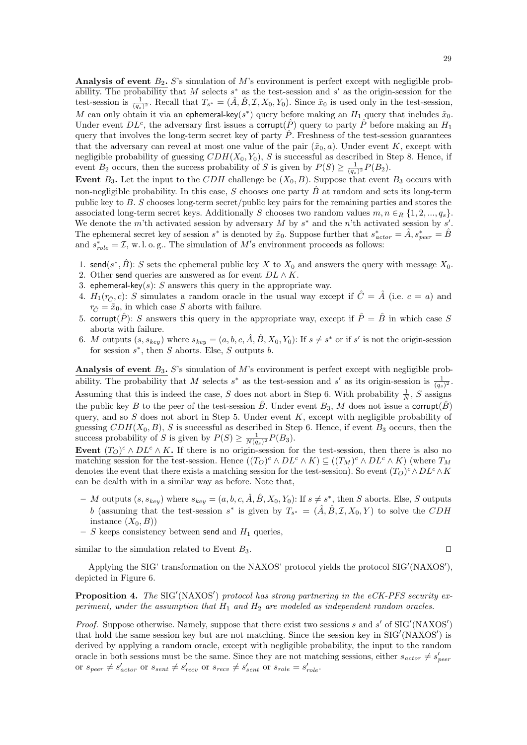Analysis of event  $B_2$ . S's simulation of M's environment is perfect except with negligible probability. The probability that M selects  $s^*$  as the test-session and  $s'$  as the origin-session for the test-session is  $\frac{1}{(q_s)^2}$ . Recall that  $T_{s^*} = (\hat{A}, \hat{B}, \mathcal{I}, X_0, Y_0)$ . Since  $\tilde{x}_0$  is used only in the test-session, M can only obtain it via an ephemeral-key(s<sup>\*</sup>) query before making an  $H_1$  query that includes  $\tilde{x}_0$ . Under event  $DL^c$ , the adversary first issues a corrupt( $\hat{P}$ ) query to party  $\hat{P}$  before making an  $H_1$ query that involves the long-term secret key of party  $\ddot{P}$ . Freshness of the test-session guarantees that the adversary can reveal at most one value of the pair  $(\tilde{x}_0, a)$ . Under event K, except with negligible probability of guessing  $CDH(X_0, Y_0)$ , S is successful as described in Step 8. Hence, if event  $B_2$  occurs, then the success probability of S is given by  $P(S) \geq \frac{1}{(q_s)^2} P(B_2)$ .

Event  $B_3$ . Let the input to the CDH challenge be  $(X_0, B)$ . Suppose that event  $B_3$  occurs with non-negligible probability. In this case, S chooses one party  $\hat{B}$  at random and sets its long-term public key to B. S chooses long-term secret/public key pairs for the remaining parties and stores the associated long-term secret keys. Additionally S chooses two random values  $m, n \in_R \{1, 2, ..., q_s\}.$ We denote the  $m$ 'th activated session by adversary M by  $s^*$  and the  $n$ 'th activated session by  $s'$ . The ephemeral secret key of session  $s^*$  is denoted by  $\tilde{x}_0$ . Suppose further that  $s^*_{actor} = \hat{A}, s^*_{peer} = \hat{B}$ and  $s_{role}^* = \mathcal{I}$ , w. l. o.g.. The simulation of M's environment proceeds as follows:

- 1. send $(s^*, \hat{B})$ : S sets the ephemeral public key X to  $X_0$  and answers the query with message  $X_0$ .
- 2. Other send queries are answered as for event  $DL \wedge K$ .
- 3. ephemeral-key(s): S answers this query in the appropriate way.
- 4.  $H_1(r_{\hat{C}}, c)$ : S simulates a random oracle in the usual way except if  $\hat{C} = \hat{A}$  (i.e.  $c = a$ ) and  $r_{\hat{C}} = \tilde{x}_0$ , in which case S aborts with failure.
- 5. corrupt( $\hat{P}$ ): S answers this query in the appropriate way, except if  $\hat{P} = \hat{B}$  in which case S aborts with failure.
- 6. M outputs  $(s, s_{key})$  where  $s_{key} = (a, b, c, \hat{A}, \hat{B}, X_0, Y_0)$ : If  $s \neq s^*$  or if s' is not the origin-session for session  $s^*$ , then S aborts. Else, S outputs b.

**Analysis of event**  $B_3$ . S's simulation of M's environment is perfect except with negligible probability. The probability that M selects  $s^*$  as the test-session and  $s'$  as its origin-session is  $\frac{1}{(q_s)^2}$ . Assuming that this is indeed the case, S does not abort in Step 6. With probability  $\frac{1}{N}$ , S assigns the public key B to the peer of the test-session  $\hat{B}$ . Under event  $B_3$ , M does not issue a corrupt( $\hat{B}$ ) query, and so  $S$  does not abort in Step 5. Under event  $K$ , except with negligible probability of guessing  $CDH(X_0, B)$ , S is successful as described in Step 6. Hence, if event  $B_3$  occurs, then the success probability of S is given by  $P(S) \geq \frac{1}{N(q_s)^2} P(B_3)$ .

Event  $(T_O)^c \wedge DL^c \wedge K$ . If there is no origin-session for the test-session, then there is also no matching session for the test-session. Hence  $((T_O)^c \wedge DL^c \wedge K) \subseteq ((T_M)^c \wedge DL^c \wedge K)$  (where  $T_M$ denotes the event that there exists a matching session for the test-session). So event  $(T_O)^c \wedge DL^c \wedge K$ can be dealth with in a similar way as before. Note that,

- $-M$  outputs  $(s, s_{key})$  where  $s_{key} = (a, b, c, \hat{A}, \hat{B}, X_0, Y_0)$ : If  $s \neq s^*$ , then S aborts. Else, S outputs b (assuming that the test-session  $s^*$  is given by  $T_{s^*} = (\hat{A}, \hat{B}, \mathcal{I}, X_0, Y)$  to solve the CDH instance  $(X_0, B)$
- S keeps consistency between send and  $H_1$  queries,

similar to the simulation related to Event  $B_3$ .

Applying the SIG' transformation on the NAXOS' protocol yields the protocol  $SIG'(NAXOS')$ , depicted in Figure 6.

**Proposition 4.** The SIG'(NAXOS') protocol has strong partnering in the eCK-PFS security experiment, under the assumption that  $H_1$  and  $H_2$  are modeled as independent random oracles.

*Proof.* Suppose otherwise. Namely, suppose that there exist two sessions s and s' of  $SIG'(NAXOS')$ that hold the same session key but are not matching. Since the session key in  $SIG'(NAXOS')$  is derived by applying a random oracle, except with negligible probability, the input to the random oracle in both sessions must be the same. Since they are not matching sessions, either  $s_{actor} \neq s'_{peer}$ or  $s_{peer} \neq s'_{actor}$  or  $s_{sent} \neq s'_{recv}$  or  $s_{recv} \neq s'_{sent}$  or  $s_{role} = s'_{role}$ .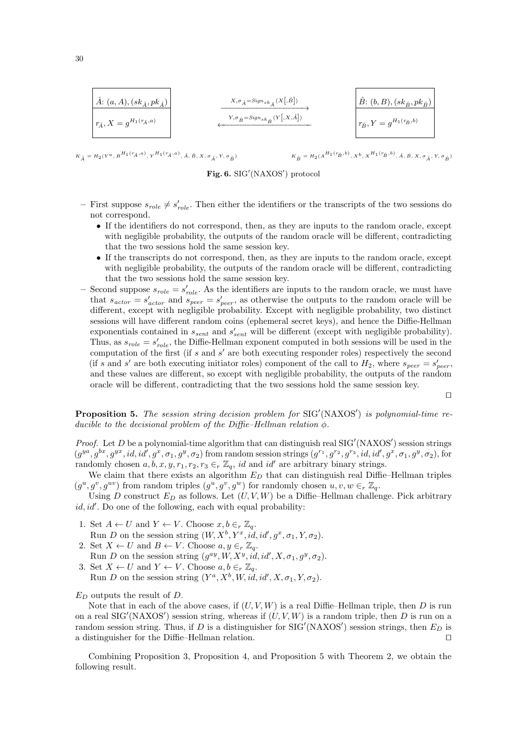$$
\begin{array}{|c|c|c|c|}\hline \hat{A}: (a, A), (sk_{\hat{A}}, pk_{\hat{A}}) & & x_{,\sigma_{\hat{A}} = \text{Sign}_{sk_{\hat{A}}}(X[\hat{B}])} & & \hat{B}: (b, B), (sk_{\hat{B}}, pk_{\hat{B}}) \\\hline r_{\hat{A}}, X = g^{H_1(r_{\hat{A}}, a)} & & & \xrightarrow{Y, \sigma_{\hat{B}} = \text{Sign}_{sk_{\hat{B}}}(Y[, X, \hat{A}])} & & r_{\hat{B}}, Y = g^{H_1(r_{\hat{B}}, b)}\hline \end{array}
$$

 $K_{\hat{A}} = H_2(Y^a, B^{H_1(r_{\hat{A}},a)}, Y^{H_1(r_{\hat{A}},a)}, \hat{A}, \hat{B}, X, \sigma_{\hat{A}}, Y, \sigma_{\hat{B}})$ )  $K_{\hat{B}} = H_2(A^{H_1(r_{\hat{B}},b)}, X^b, X^{H_1(r_{\hat{B}},b)}, \hat{A}, \hat{B}, X, \sigma_{\hat{A}}, Y, \sigma_{\hat{B}})$ 

Fig. 6. SIG'(NAXOS') protocol

- First suppose  $s_{role} \neq s'_{role}$ . Then either the identifiers or the transcripts of the two sessions do not correspond.
	- If the identifiers do not correspond, then, as they are inputs to the random oracle, except with negligible probability, the outputs of the random oracle will be different, contradicting that the two sessions hold the same session key.
	- If the transcripts do not correspond, then, as they are inputs to the random oracle, except with negligible probability, the outputs of the random oracle will be different, contradicting that the two sessions hold the same session key.
- Second suppose  $s_{role} = s'_{role}$ . As the identifiers are inputs to the random oracle, we must have that  $s_{actor} = s'_{actor}$  and  $s_{peer} = s'_{peer}$ , as otherwise the outputs to the random oracle will be different, except with negligible probability. Except with negligible probability, two distinct sessions will have different random coins (ephemeral secret keys), and hence the Diffie-Hellman exponentials contained in  $s_{sent}$  and  $s'_{sent}$  will be different (except with negligible probability). Thus, as  $s_{role} = s'_{role}$ , the Diffie-Hellman exponent computed in both sessions will be used in the computation of the first (if  $s$  and  $s'$  are both executing responder roles) respectively the second (if s and s' are both executing initiator roles) component of the call to  $H_2$ , where  $s_{peer} = s'_{peer}$ , and these values are different, so except with negligible probability, the outputs of the random oracle will be different, contradicting that the two sessions hold the same session key.

 $\Box$ 

**Proposition 5.** The session string decision problem for  $SIG'(NAXOS')$  is polynomial-time reducible to the decisional problem of the Diffie–Hellman relation  $\phi$ .

*Proof.* Let D be a polynomial-time algorithm that can distinguish real  $SIG'(NAXOS')$  session strings  $(g^{ya}, g^{bx}, g^{yx}, id, id', g^x, \sigma_1, g^y, \sigma_2)$  from random session strings  $(g^{r_1}, g^{r_2}, g^{r_3}, id, id', g^x, \sigma_1, g^y, \sigma_2)$ , for randomly chosen  $a, b, x, y, r_1, r_2, r_3 \in \mathbb{Z}_q$ , *id* and *id'* are arbitrary binary strings.

We claim that there exists an algorithm  $E_D$  that can distinguish real Diffie–Hellman triples  $(g^u, g^v, g^{uv})$  from random triples  $(g^u, g^v, g^w)$  for randomly chosen  $u, v, w \in_r \mathbb{Z}_q$ .

Using D construct  $E_D$  as follows. Let  $(U, V, W)$  be a Diffie–Hellman challenge. Pick arbitrary  $id$ ,  $id'$ . Do one of the following, each with equal probability:

- 1. Set  $A \leftarrow U$  and  $Y \leftarrow V$ . Choose  $x, b \in_r \mathbb{Z}_q$ . Run D on the session string  $(W, X^b, Y^x, id, id', g^x, \sigma_1, Y, \sigma_2)$ .
- 2. Set  $X \leftarrow U$  and  $B \leftarrow V$ . Choose  $a, y \in_r \mathbb{Z}_q$ . Run D on the session string  $(g^{ay}, W, X^y, id, id', X, \sigma_1, g^y, \sigma_2)$ .
- 3. Set  $X \leftarrow U$  and  $Y \leftarrow V$ . Choose  $a, b \in_r \mathbb{Z}_q$ . Run D on the session string  $(Y^a, X^b, W, id, id', X, \sigma_1, Y, \sigma_2)$ .

 $E_D$  outputs the result of D.

Note that in each of the above cases, if  $(U, V, W)$  is a real Diffie–Hellman triple, then D is run on a real SIG'(NAXOS') session string, whereas if  $(U, V, W)$  is a random triple, then D is run on a random session string. Thus, if D is a distinguisher for  $\text{SIG}'(\text{NAXOS}')$  session strings, then  $E_D$  is a distinguisher for the Diffie–Hellman relation.  $\Box$ 

Combining Proposition 3, Proposition 4, and Proposition 5 with Theorem 2, we obtain the following result.